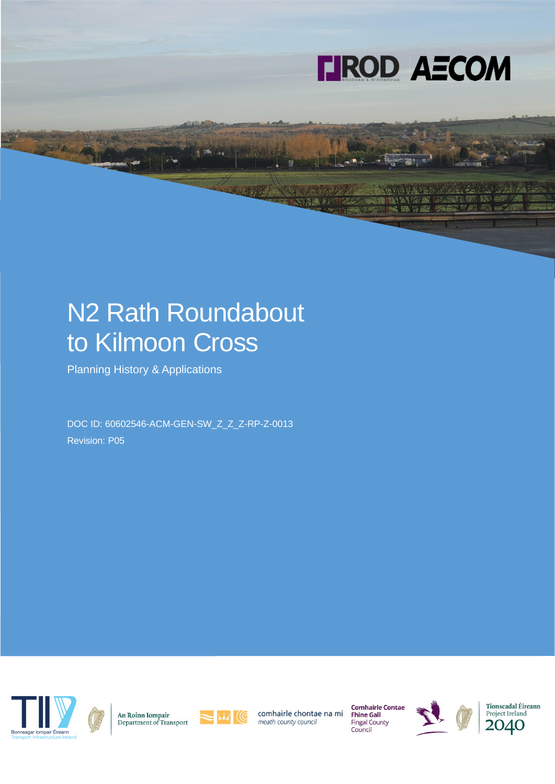

# N2 Rath Roundabout to Kilmoon Cross

Planning History & Applications

DOC ID: 60602546-ACM-GEN-SW\_Z\_Z\_Z-RP-Z-0013 Revision: P05



An Roinn Iompair<br>Department of Transport



comhairle chontae na mí meath county council

**Comhairle Contae**<br>Fhine Gall **Fingal County** Council





Tionscadal Éireann Project Ireland 2040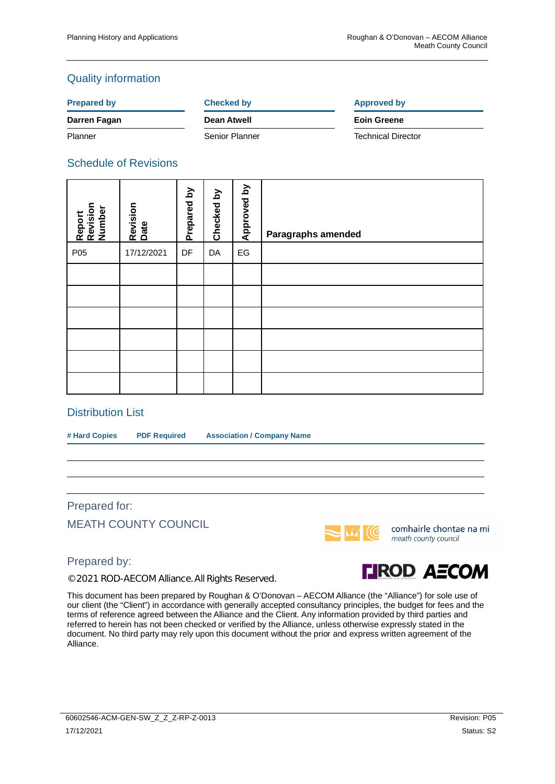### Quality information

#### **Prepared by Checked by Checked by Approved by**

**Darren Fagan Dean Atwell Eoin Greene**

Planner Senior Planner Technical Director

### Schedule of Revisions

| Report<br>Revision<br>Number | Revision<br>Date | Prepared by | $\mathbf{\Sigma}$<br>Checked | Approved by            | Paragraphs amended |
|------------------------------|------------------|-------------|------------------------------|------------------------|--------------------|
| P05                          | 17/12/2021       | DF          | DA                           | $\mathsf{E}\mathsf{G}$ |                    |
|                              |                  |             |                              |                        |                    |
|                              |                  |             |                              |                        |                    |
|                              |                  |             |                              |                        |                    |
|                              |                  |             |                              |                        |                    |
|                              |                  |             |                              |                        |                    |
|                              |                  |             |                              |                        |                    |

#### Distribution List

**# Hard Copies PDF Required Association / Company Name**

Prepared for:

MEATH COUNTY COUNCIL



© 2021 ROD-AECOM Alliance. All Rights Reserved.



comhairle chontae na mí meath county council



This document has been prepared by Roughan & O'Donovan – AECOM Alliance (the "Alliance") for sole use of our client (the "Client") in accordance with generally accepted consultancy principles, the budget for fees and the terms of reference agreed between the Alliance and the Client. Any information provided by third parties and referred to herein has not been checked or verified by the Alliance, unless otherwise expressly stated in the document. No third party may rely upon this document without the prior and express written agreement of the Alliance.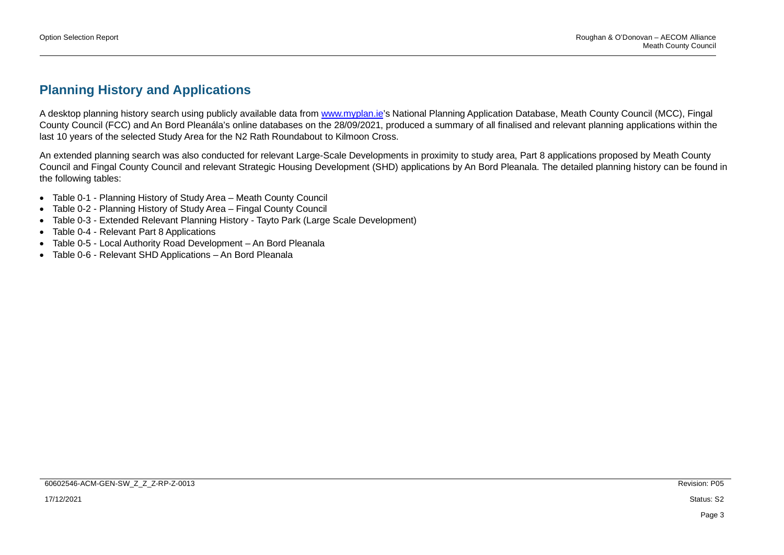## **Planning History and Applications**

A desktop planning history search using publicly available data from www.myplan.ie's National Planning Application Database, Meath County Council (MCC), Fingal County Council (FCC) and An Bord Pleanála's online databases on the 28/09/2021, produced a summary of all finalised and relevant planning applications within the last 10 years of the selected Study Area for the N2 Rath Roundabout to Kilmoon Cross.

An extended planning search was also conducted for relevant Large-Scale Developments in proximity to study area, Part 8 applications proposed by Meath County Council and Fingal County Council and relevant Strategic Housing Development (SHD) applications by An Bord Pleanala. The detailed planning history can be found in the following tables:

- Table 0-1 Planning History of Study Area Meath County Council
- Table 0-2 Planning History of Study Area Fingal County Council
- Table 0-3 Extended Relevant Planning History Tayto Park (Large Scale Development)
- Table 0-4 Relevant Part 8 Applications
- Table 0-5 Local Authority Road Development An Bord Pleanala
- Table 0-6 Relevant SHD Applications An Bord Pleanala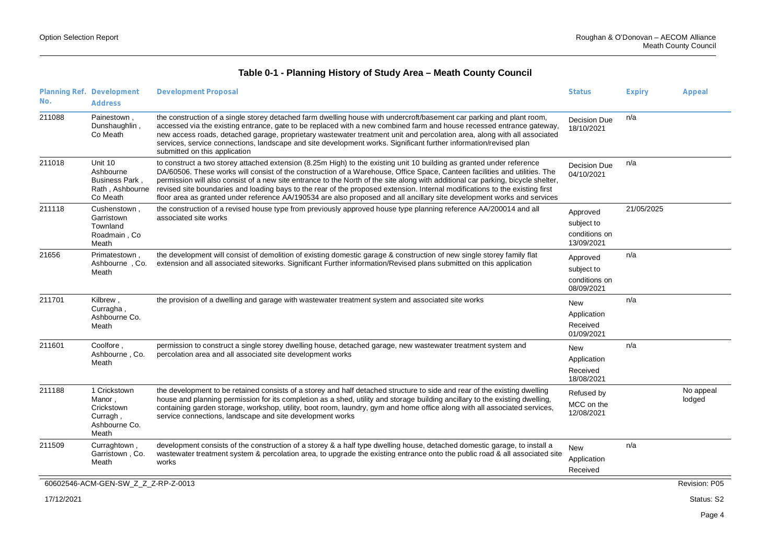| No.        | Planning Ref. Development<br><b>Address</b>                                  | <b>Development Proposal</b>                                                                                                                                                                                                                                                                                                                                                                                                                                                                                                                                                                                                                        | <b>Status</b>                                         | <b>Expiry</b> | Appeal              |
|------------|------------------------------------------------------------------------------|----------------------------------------------------------------------------------------------------------------------------------------------------------------------------------------------------------------------------------------------------------------------------------------------------------------------------------------------------------------------------------------------------------------------------------------------------------------------------------------------------------------------------------------------------------------------------------------------------------------------------------------------------|-------------------------------------------------------|---------------|---------------------|
| 211088     | Painestown,<br>Dunshaughlin,<br>Co Meath                                     | the construction of a single storey detached farm dwelling house with undercroft/basement car parking and plant room,<br>accessed via the existing entrance, gate to be replaced with a new combined farm and house recessed entrance gateway,<br>new access roads, detached garage, proprietary wastewater treatment unit and percolation area, along with all associated<br>services, service connections, landscape and site development works. Significant further information/revised plan<br>submitted on this application                                                                                                                   | <b>Decision Due</b><br>18/10/2021                     | n/a           |                     |
| 211018     | Unit 10<br>Ashbourne<br><b>Business Park.</b><br>Rath, Ashbourne<br>Co Meath | to construct a two storey attached extension (8.25m High) to the existing unit 10 building as granted under reference<br>DA/60506. These works will consist of the construction of a Warehouse, Office Space, Canteen facilities and utilities. The<br>permission will also consist of a new site entrance to the North of the site along with additional car parking, bicycle shelter,<br>revised site boundaries and loading bays to the rear of the proposed extension. Internal modifications to the existing first<br>floor area as granted under reference AA/190534 are also proposed and all ancillary site development works and services | Decision Due<br>04/10/2021                            | n/a           |                     |
| 211118     | Cushenstown,<br>Garristown<br>Townland<br>Roadmain, Co<br>Meath              | the construction of a revised house type from previously approved house type planning reference AA/200014 and all<br>associated site works                                                                                                                                                                                                                                                                                                                                                                                                                                                                                                         | Approved<br>subject to<br>conditions on<br>13/09/2021 | 21/05/2025    |                     |
| 21656      | Primatestown,<br>Ashbourne, Co.<br>Meath                                     | the development will consist of demolition of existing domestic garage & construction of new single storey family flat<br>extension and all associated siteworks. Significant Further information/Revised plans submitted on this application                                                                                                                                                                                                                                                                                                                                                                                                      | Approved<br>subject to<br>conditions on<br>08/09/2021 | n/a           |                     |
| 211701     | Kilbrew,<br>Curragha<br>Ashbourne Co.<br>Meath                               | the provision of a dwelling and garage with wastewater treatment system and associated site works                                                                                                                                                                                                                                                                                                                                                                                                                                                                                                                                                  | <b>New</b><br>Application<br>Received<br>01/09/2021   | n/a           |                     |
| 211601     | Coolfore<br>Ashbourne, Co.<br>Meath                                          | permission to construct a single storey dwelling house, detached garage, new wastewater treatment system and<br>percolation area and all associated site development works                                                                                                                                                                                                                                                                                                                                                                                                                                                                         | <b>New</b><br>Application<br>Received<br>18/08/2021   | n/a           |                     |
| 211188     | 1 Crickstown<br>Manor,<br>Crickstown<br>Curragh,<br>Ashbourne Co.<br>Meath   | the development to be retained consists of a storey and half detached structure to side and rear of the existing dwelling<br>house and planning permission for its completion as a shed, utility and storage building ancillary to the existing dwelling.<br>containing garden storage, workshop, utility, boot room, laundry, gym and home office along with all associated services,<br>service connections, landscape and site development works                                                                                                                                                                                                | Refused by<br>MCC on the<br>12/08/2021                |               | No appeal<br>lodged |
| 211509     | Curraghtown,<br>Garristown, Co.<br>Meath                                     | development consists of the construction of a storey & a half type dwelling house, detached domestic garage, to install a<br>wastewater treatment system & percolation area, to upgrade the existing entrance onto the public road & all associated site<br>works                                                                                                                                                                                                                                                                                                                                                                                  | <b>New</b><br>Application<br>Received                 | n/a           |                     |
|            | 60602546-ACM-GEN-SW_Z_Z_Z-RP-Z-0013                                          |                                                                                                                                                                                                                                                                                                                                                                                                                                                                                                                                                                                                                                                    |                                                       |               | Revision: P05       |
| 17/12/2021 |                                                                              |                                                                                                                                                                                                                                                                                                                                                                                                                                                                                                                                                                                                                                                    |                                                       |               | Status: S2          |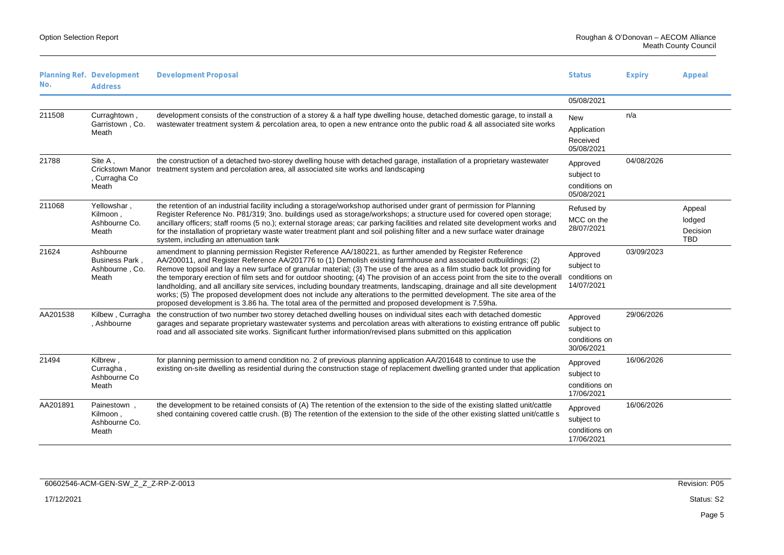| No.      | Planning Ref. Development<br><b>Address</b>                  | <b>Development Proposal</b>                                                                                                                                                                                                                                                                                                                                                                                                                                                                                                                                                                                                                                                                                                                                                                                                                                   | <b>Status</b>                                         | <b>Expiry</b> | Appeal                                     |
|----------|--------------------------------------------------------------|---------------------------------------------------------------------------------------------------------------------------------------------------------------------------------------------------------------------------------------------------------------------------------------------------------------------------------------------------------------------------------------------------------------------------------------------------------------------------------------------------------------------------------------------------------------------------------------------------------------------------------------------------------------------------------------------------------------------------------------------------------------------------------------------------------------------------------------------------------------|-------------------------------------------------------|---------------|--------------------------------------------|
|          |                                                              |                                                                                                                                                                                                                                                                                                                                                                                                                                                                                                                                                                                                                                                                                                                                                                                                                                                               | 05/08/2021                                            |               |                                            |
| 211508   | Curraghtown,<br>Garristown, Co.<br>Meath                     | development consists of the construction of a storey & a half type dwelling house, detached domestic garage, to install a<br>wastewater treatment system & percolation area, to open a new entrance onto the public road & all associated site works                                                                                                                                                                                                                                                                                                                                                                                                                                                                                                                                                                                                          | <b>New</b><br>Application<br>Received<br>05/08/2021   | n/a           |                                            |
| 21788    | Site A,<br><b>Crickstown Manor</b><br>. Curragha Co<br>Meath | the construction of a detached two-storey dwelling house with detached garage, installation of a proprietary wastewater<br>treatment system and percolation area, all associated site works and landscaping                                                                                                                                                                                                                                                                                                                                                                                                                                                                                                                                                                                                                                                   | Approved<br>subject to<br>conditions on<br>05/08/2021 | 04/08/2026    |                                            |
| 211068   | Yellowshar,<br>Kilmoon,<br>Ashbourne Co.<br>Meath            | the retention of an industrial facility including a storage/workshop authorised under grant of permission for Planning<br>Register Reference No. P81/319; 3no. buildings used as storage/workshops; a structure used for covered open storage;<br>ancillary officers; staff rooms (5 no.); external storage areas; car parking facilities and related site development works and<br>for the installation of proprietary waste water treatment plant and soil polishing filter and a new surface water drainage<br>system, including an attenuation tank                                                                                                                                                                                                                                                                                                       | Refused by<br>MCC on the<br>28/07/2021                |               | Appeal<br>lodged<br>Decision<br><b>TBD</b> |
| 21624    | Ashbourne<br>Business Park,<br>Ashbourne, Co.<br>Meath       | amendment to planning permission Register Reference AA/180221, as further amended by Register Reference<br>AA/200011, and Register Reference AA/201776 to (1) Demolish existing farmhouse and associated outbuildings; (2)<br>Remove topsoil and lay a new surface of granular material; (3) The use of the area as a film studio back lot providing for<br>the temporary erection of film sets and for outdoor shooting; (4) The provision of an access point from the site to the overall<br>landholding, and all ancillary site services, including boundary treatments, landscaping, drainage and all site development<br>works; (5) The proposed development does not include any alterations to the permitted development. The site area of the<br>proposed development is 3.86 ha. The total area of the permitted and proposed development is 7.59ha. | Approved<br>subject to<br>conditions on<br>14/07/2021 | 03/09/2023    |                                            |
| AA201538 | Kilbew, Curragha<br>, Ashbourne                              | the construction of two number two storey detached dwelling houses on individual sites each with detached domestic<br>garages and separate proprietary wastewater systems and percolation areas with alterations to existing entrance off public<br>road and all associated site works. Significant further information/revised plans submitted on this application                                                                                                                                                                                                                                                                                                                                                                                                                                                                                           | Approved<br>subject to<br>conditions on<br>30/06/2021 | 29/06/2026    |                                            |
| 21494    | Kilbrew,<br>Curragha<br>Ashbourne Co<br>Meath                | for planning permission to amend condition no. 2 of previous planning application AA/201648 to continue to use the<br>existing on-site dwelling as residential during the construction stage of replacement dwelling granted under that application                                                                                                                                                                                                                                                                                                                                                                                                                                                                                                                                                                                                           | Approved<br>subject to<br>conditions on<br>17/06/2021 | 16/06/2026    |                                            |
| AA201891 | Painestown,<br>Kilmoon,<br>Ashbourne Co.<br>Meath            | the development to be retained consists of (A) The retention of the extension to the side of the existing slatted unit/cattle<br>shed containing covered cattle crush. (B) The retention of the extension to the side of the other existing slatted unit/cattle s                                                                                                                                                                                                                                                                                                                                                                                                                                                                                                                                                                                             | Approved<br>subject to<br>conditions on<br>17/06/2021 | 16/06/2026    |                                            |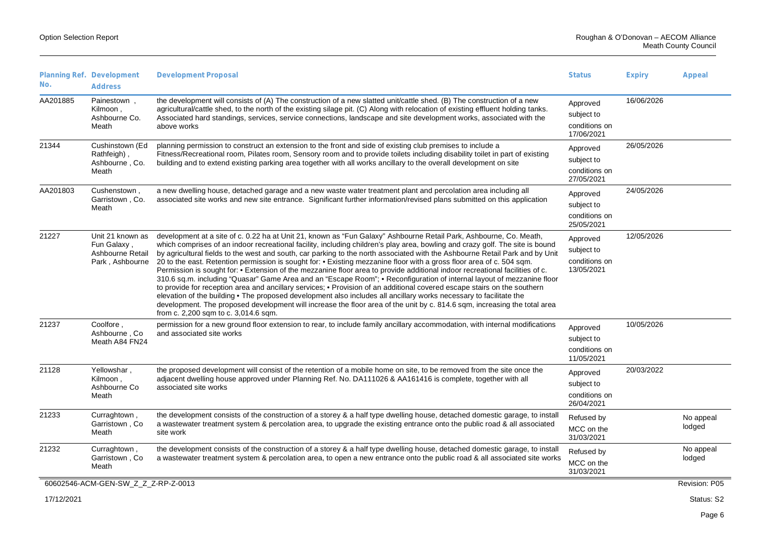| No.      | Planning Ref. Development<br><b>Address</b>                            | <b>Development Proposal</b>                                                                                                                                                                                                                                                                                                                                                                                                                                                                                                                                                                                                                                                                                                                                                                                                                                                                                                                                                                                                                                                                                                                                                                   | <b>Status</b>                                         | <b>Expiry</b> | Appeal              |
|----------|------------------------------------------------------------------------|-----------------------------------------------------------------------------------------------------------------------------------------------------------------------------------------------------------------------------------------------------------------------------------------------------------------------------------------------------------------------------------------------------------------------------------------------------------------------------------------------------------------------------------------------------------------------------------------------------------------------------------------------------------------------------------------------------------------------------------------------------------------------------------------------------------------------------------------------------------------------------------------------------------------------------------------------------------------------------------------------------------------------------------------------------------------------------------------------------------------------------------------------------------------------------------------------|-------------------------------------------------------|---------------|---------------------|
| AA201885 | Painestown,<br>Kilmoon,<br>Ashbourne Co.<br>Meath                      | the development will consists of (A) The construction of a new slatted unit/cattle shed. (B) The construction of a new<br>agricultural/cattle shed, to the north of the existing silage pit. (C) Along with relocation of existing effluent holding tanks.<br>Associated hard standings, services, service connections, landscape and site development works, associated with the<br>above works                                                                                                                                                                                                                                                                                                                                                                                                                                                                                                                                                                                                                                                                                                                                                                                              | Approved<br>subject to<br>conditions on<br>17/06/2021 | 16/06/2026    |                     |
| 21344    | Cushinstown (Ed<br>Rathfeigh),<br>Ashbourne, Co.<br>Meath              | planning permission to construct an extension to the front and side of existing club premises to include a<br>Fitness/Recreational room, Pilates room, Sensory room and to provide toilets including disability toilet in part of existing<br>building and to extend existing parking area together with all works ancillary to the overall development on site                                                                                                                                                                                                                                                                                                                                                                                                                                                                                                                                                                                                                                                                                                                                                                                                                               | Approved<br>subject to<br>conditions on<br>27/05/2021 | 26/05/2026    |                     |
| AA201803 | Cushenstown,<br>Garristown, Co.<br>Meath                               | a new dwelling house, detached garage and a new waste water treatment plant and percolation area including all<br>associated site works and new site entrance. Significant further information/revised plans submitted on this application                                                                                                                                                                                                                                                                                                                                                                                                                                                                                                                                                                                                                                                                                                                                                                                                                                                                                                                                                    | Approved<br>subject to<br>conditions on<br>25/05/2021 | 24/05/2026    |                     |
| 21227    | Unit 21 known as<br>Fun Galaxy,<br>Ashbourne Retail<br>Park, Ashbourne | development at a site of c. 0.22 ha at Unit 21, known as "Fun Galaxy" Ashbourne Retail Park, Ashbourne, Co. Meath,<br>which comprises of an indoor recreational facility, including children's play area, bowling and crazy golf. The site is bound<br>by agricultural fields to the west and south, car parking to the north associated with the Ashbourne Retail Park and by Unit<br>20 to the east. Retention permission is sought for: • Existing mezzanine floor with a gross floor area of c. 504 sqm.<br>Permission is sought for: • Extension of the mezzanine floor area to provide additional indoor recreational facilities of c.<br>310.6 sq.m. including "Quasar" Game Area and an "Escape Room"; . Reconfiguration of internal layout of mezzanine floor<br>to provide for reception area and ancillary services; • Provision of an additional covered escape stairs on the southern<br>elevation of the building • The proposed development also includes all ancillary works necessary to facilitate the<br>development. The proposed development will increase the floor area of the unit by c. 814.6 sqm, increasing the total area<br>from c. 2,200 sqm to c. 3,014.6 sqm. | Approved<br>subject to<br>conditions on<br>13/05/2021 | 12/05/2026    |                     |
| 21237    | Coolfore,<br>Ashbourne, Co.<br>Meath A84 FN24                          | permission for a new ground floor extension to rear, to include family ancillary accommodation, with internal modifications<br>and associated site works                                                                                                                                                                                                                                                                                                                                                                                                                                                                                                                                                                                                                                                                                                                                                                                                                                                                                                                                                                                                                                      | Approved<br>subject to<br>conditions on<br>11/05/2021 | 10/05/2026    |                     |
| 21128    | Yellowshar,<br>Kilmoon,<br>Ashbourne Co<br>Meath                       | the proposed development will consist of the retention of a mobile home on site, to be removed from the site once the<br>adjacent dwelling house approved under Planning Ref. No. DA111026 & AA161416 is complete, together with all<br>associated site works                                                                                                                                                                                                                                                                                                                                                                                                                                                                                                                                                                                                                                                                                                                                                                                                                                                                                                                                 | Approved<br>subject to<br>conditions on<br>26/04/2021 | 20/03/2022    |                     |
| 21233    | Curraghtown,<br>Garristown, Co.<br>Meath                               | the development consists of the construction of a storey & a half type dwelling house, detached domestic garage, to install<br>a wastewater treatment system & percolation area, to upgrade the existing entrance onto the public road & all associated<br>site work                                                                                                                                                                                                                                                                                                                                                                                                                                                                                                                                                                                                                                                                                                                                                                                                                                                                                                                          | Refused by<br>MCC on the<br>31/03/2021                |               | No appeal<br>lodged |
| 21232    | Curraghtown,<br>Garristown, Co.<br>Meath                               | the development consists of the construction of a storey & a half type dwelling house, detached domestic garage, to install<br>a wastewater treatment system & percolation area, to open a new entrance onto the public road & all associated site works                                                                                                                                                                                                                                                                                                                                                                                                                                                                                                                                                                                                                                                                                                                                                                                                                                                                                                                                      | Refused by<br>MCC on the<br>31/03/2021                |               | No appeal<br>lodged |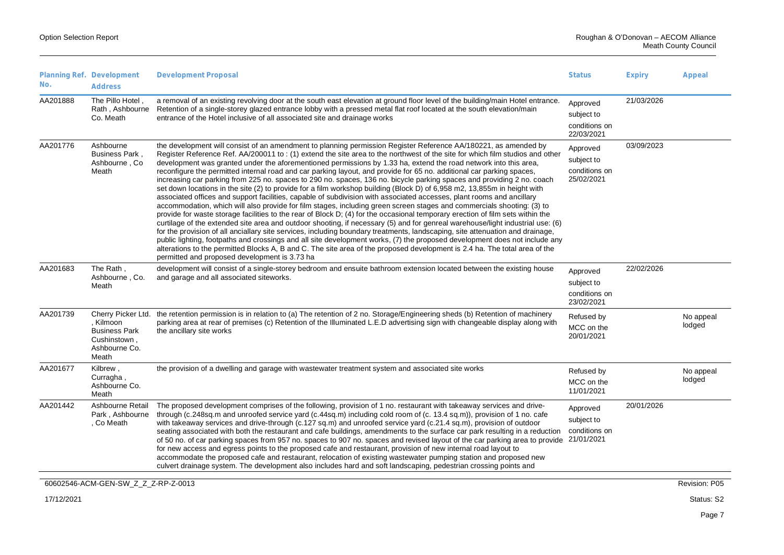|                 | Planning Ref. Development                                                                         | <b>Development Proposal</b>                                                                                                                                                                                                                                                                                                                                                                                                                                                                                                                                                                                                                                                                                                                                                                                                                                                                                                                                                                                                                                                                                                                                                                                                                                                                                                                                                                                                                                                                                                                                                                                                                                                                                             | <b>Status</b>                                         | <b>Expiry</b> | Appeal              |
|-----------------|---------------------------------------------------------------------------------------------------|-------------------------------------------------------------------------------------------------------------------------------------------------------------------------------------------------------------------------------------------------------------------------------------------------------------------------------------------------------------------------------------------------------------------------------------------------------------------------------------------------------------------------------------------------------------------------------------------------------------------------------------------------------------------------------------------------------------------------------------------------------------------------------------------------------------------------------------------------------------------------------------------------------------------------------------------------------------------------------------------------------------------------------------------------------------------------------------------------------------------------------------------------------------------------------------------------------------------------------------------------------------------------------------------------------------------------------------------------------------------------------------------------------------------------------------------------------------------------------------------------------------------------------------------------------------------------------------------------------------------------------------------------------------------------------------------------------------------------|-------------------------------------------------------|---------------|---------------------|
| No.<br>AA201888 | <b>Address</b><br>The Pillo Hotel,<br>Rath, Ashbourne                                             | a removal of an existing revolving door at the south east elevation at ground floor level of the building/main Hotel entrance.<br>Retention of a single-storey glazed entrance lobby with a pressed metal flat roof located at the south elevation/main                                                                                                                                                                                                                                                                                                                                                                                                                                                                                                                                                                                                                                                                                                                                                                                                                                                                                                                                                                                                                                                                                                                                                                                                                                                                                                                                                                                                                                                                 | Approved                                              | 21/03/2026    |                     |
|                 | Co. Meath                                                                                         | entrance of the Hotel inclusive of all associated site and drainage works                                                                                                                                                                                                                                                                                                                                                                                                                                                                                                                                                                                                                                                                                                                                                                                                                                                                                                                                                                                                                                                                                                                                                                                                                                                                                                                                                                                                                                                                                                                                                                                                                                               | subject to<br>conditions on<br>22/03/2021             |               |                     |
| AA201776        | Ashbourne<br>Business Park,<br>Ashbourne, Co.<br>Meath                                            | the development will consist of an amendment to planning permission Register Reference AA/180221, as amended by<br>Register Reference Ref. AA/200011 to: (1) extend the site area to the northwest of the site for which film studios and other<br>development was granted under the aforementioned permissions by 1.33 ha, extend the road network into this area,<br>reconfigure the permitted internal road and car parking layout, and provide for 65 no. additional car parking spaces,<br>increasing car parking from 225 no. spaces to 290 no. spaces, 136 no. bicycle parking spaces and providing 2 no. coach<br>set down locations in the site (2) to provide for a film workshop building (Block D) of 6,958 m2, 13,855m in height with<br>associated offices and support facilities, capable of subdivision with associated accesses, plant rooms and ancillary<br>accommodation, which will also provide for film stages, including green screen stages and commercials shooting: (3) to<br>provide for waste storage facilities to the rear of Block D; (4) for the occasional temporary erection of film sets within the<br>curtilage of the extended site area and outdoor shooting, if necessary (5) and for genreal warehouse/light industrial use: (6)<br>for the provision of all anciallary site services, including boundary treatments, landscaping, site attenuation and drainage,<br>public lighting, footpaths and crossings and all site development works, (7) the proposed development does not include any<br>alterations to the permitted Blocks A, B and C. The site area of the proposed development is 2.4 ha. The total area of the<br>permitted and proposed development is 3.73 ha | Approved<br>subject to<br>conditions on<br>25/02/2021 | 03/09/2023    |                     |
| AA201683        | The Rath,<br>Ashbourne, Co.<br>Meath                                                              | development will consist of a single-storey bedroom and ensuite bathroom extension located between the existing house<br>and garage and all associated siteworks.                                                                                                                                                                                                                                                                                                                                                                                                                                                                                                                                                                                                                                                                                                                                                                                                                                                                                                                                                                                                                                                                                                                                                                                                                                                                                                                                                                                                                                                                                                                                                       | Approved<br>subject to<br>conditions on<br>23/02/2021 | 22/02/2026    |                     |
| AA201739        | Cherry Picker Ltd.<br>. Kilmoon<br><b>Business Park</b><br>Cushinstown,<br>Ashbourne Co.<br>Meath | the retention permission is in relation to (a) The retention of 2 no. Storage/Engineering sheds (b) Retention of machinery<br>parking area at rear of premises (c) Retention of the Illuminated L.E.D advertising sign with changeable display along with<br>the ancillary site works                                                                                                                                                                                                                                                                                                                                                                                                                                                                                                                                                                                                                                                                                                                                                                                                                                                                                                                                                                                                                                                                                                                                                                                                                                                                                                                                                                                                                                   | Refused by<br>MCC on the<br>20/01/2021                |               | No appeal<br>lodged |
| AA201677        | Kilbrew,<br>Curragha,<br>Ashbourne Co.<br>Meath                                                   | the provision of a dwelling and garage with wastewater treatment system and associated site works                                                                                                                                                                                                                                                                                                                                                                                                                                                                                                                                                                                                                                                                                                                                                                                                                                                                                                                                                                                                                                                                                                                                                                                                                                                                                                                                                                                                                                                                                                                                                                                                                       | Refused by<br>MCC on the<br>11/01/2021                |               | No appeal<br>lodged |
| AA201442        | Ashbourne Retail<br>Park, Ashbourne<br>, Co Meath                                                 | The proposed development comprises of the following, provision of 1 no. restaurant with takeaway services and drive-<br>through (c.248sq.m and unroofed service yard (c.44sq.m) including cold room of (c. 13.4 sq.m)), provision of 1 no. cafe<br>with takeaway services and drive-through (c.127 sq.m) and unroofed service yard (c.21.4 sq.m), provision of outdoor<br>seating associated with both the restaurant and cafe buildings, amendments to the surface car park resulting in a reduction<br>of 50 no. of car parking spaces from 957 no. spaces to 907 no. spaces and revised layout of the car parking area to provide 21/01/2021<br>for new access and egress points to the proposed cafe and restaurant, provision of new internal road layout to<br>accommodate the proposed cafe and restaurant, relocation of existing wastewater pumping station and proposed new<br>culvert drainage system. The development also includes hard and soft landscaping, pedestrian crossing points and                                                                                                                                                                                                                                                                                                                                                                                                                                                                                                                                                                                                                                                                                                               | Approved<br>subject to<br>conditions on               | 20/01/2026    |                     |
|                 | 60602546-ACM-GEN-SW_Z_Z_Z-RP-Z-0013                                                               |                                                                                                                                                                                                                                                                                                                                                                                                                                                                                                                                                                                                                                                                                                                                                                                                                                                                                                                                                                                                                                                                                                                                                                                                                                                                                                                                                                                                                                                                                                                                                                                                                                                                                                                         |                                                       |               | Revision: P05       |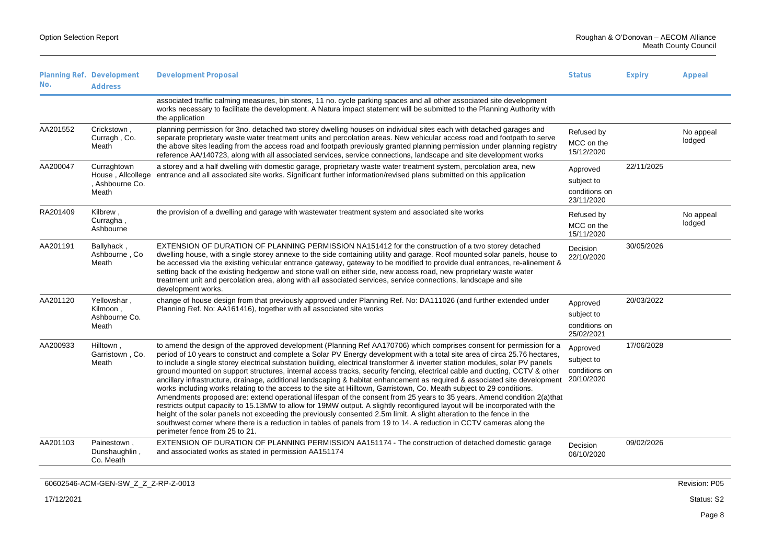| No.      | Planning Ref. Development<br><b>Address</b>                  | <b>Development Proposal</b>                                                                                                                                                                                                                                                                                                                                                                                                                                                                                                                                                                                                                                                                                                                                                                                                                                                                                                                                                                                                                                                                                                                                                                                                                                                                                                      | <b>Status</b>                                         | <b>Expiry</b> | Appeal              |
|----------|--------------------------------------------------------------|----------------------------------------------------------------------------------------------------------------------------------------------------------------------------------------------------------------------------------------------------------------------------------------------------------------------------------------------------------------------------------------------------------------------------------------------------------------------------------------------------------------------------------------------------------------------------------------------------------------------------------------------------------------------------------------------------------------------------------------------------------------------------------------------------------------------------------------------------------------------------------------------------------------------------------------------------------------------------------------------------------------------------------------------------------------------------------------------------------------------------------------------------------------------------------------------------------------------------------------------------------------------------------------------------------------------------------|-------------------------------------------------------|---------------|---------------------|
|          |                                                              | associated traffic calming measures, bin stores, 11 no. cycle parking spaces and all other associated site development<br>works necessary to facilitate the development. A Natura impact statement will be submitted to the Planning Authority with<br>the application                                                                                                                                                                                                                                                                                                                                                                                                                                                                                                                                                                                                                                                                                                                                                                                                                                                                                                                                                                                                                                                           |                                                       |               |                     |
| AA201552 | Crickstown,<br>Curragh, Co.<br>Meath                         | planning permission for 3no. detached two storey dwelling houses on individual sites each with detached garages and<br>separate proprietary waste water treatment units and percolation areas. New vehicular access road and footpath to serve<br>the above sites leading from the access road and footpath previously granted planning permission under planning registry<br>reference AA/140723, along with all associated services, service connections, landscape and site development works                                                                                                                                                                                                                                                                                                                                                                                                                                                                                                                                                                                                                                                                                                                                                                                                                                 | Refused by<br>MCC on the<br>15/12/2020                |               | No appeal<br>lodged |
| AA200047 | Curraghtown<br>House, Allcollege<br>, Ashbourne Co.<br>Meath | a storey and a half dwelling with domestic garage, proprietary waste water treatment system, percolation area, new<br>entrance and all associated site works. Significant further information/revised plans submitted on this application                                                                                                                                                                                                                                                                                                                                                                                                                                                                                                                                                                                                                                                                                                                                                                                                                                                                                                                                                                                                                                                                                        | Approved<br>subject to<br>conditions on<br>23/11/2020 | 22/11/2025    |                     |
| RA201409 | Kilbrew,<br>Curragha,<br>Ashbourne                           | the provision of a dwelling and garage with wastewater treatment system and associated site works                                                                                                                                                                                                                                                                                                                                                                                                                                                                                                                                                                                                                                                                                                                                                                                                                                                                                                                                                                                                                                                                                                                                                                                                                                | Refused by<br>MCC on the<br>15/11/2020                |               | No appeal<br>lodged |
| AA201191 | Ballyhack,<br>Ashbourne, Co.<br>Meath                        | EXTENSION OF DURATION OF PLANNING PERMISSION NA151412 for the construction of a two storey detached<br>dwelling house, with a single storey annexe to the side containing utility and garage. Roof mounted solar panels, house to<br>be accessed via the existing vehicular entrance gateway, gateway to be modified to provide dual entrances, re-alinement &<br>setting back of the existing hedgerow and stone wall on either side, new access road, new proprietary waste water<br>treatment unit and percolation area, along with all associated services, service connections, landscape and site<br>development works.                                                                                                                                                                                                                                                                                                                                                                                                                                                                                                                                                                                                                                                                                                    | Decision<br>22/10/2020                                | 30/05/2026    |                     |
| AA201120 | Yellowshar,<br>Kilmoon.<br>Ashbourne Co.<br>Meath            | change of house design from that previously approved under Planning Ref. No: DA111026 (and further extended under<br>Planning Ref. No: AA161416), together with all associated site works                                                                                                                                                                                                                                                                                                                                                                                                                                                                                                                                                                                                                                                                                                                                                                                                                                                                                                                                                                                                                                                                                                                                        | Approved<br>subject to<br>conditions on<br>25/02/2021 | 20/03/2022    |                     |
| AA200933 | Hilltown,<br>Garristown, Co.<br>Meath                        | to amend the design of the approved development (Planning Ref AA170706) which comprises consent for permission for a<br>period of 10 years to construct and complete a Solar PV Energy development with a total site area of circa 25.76 hectares,<br>to include a single storey electrical substation building, electrical transformer & inverter station modules, solar PV panels<br>ground mounted on support structures, internal access tracks, security fencing, electrical cable and ducting, CCTV & other<br>ancillary infrastructure, drainage, additional landscaping & habitat enhancement as required & associated site development 20/10/2020<br>works including works relating to the access to the site at Hilltown, Garristown, Co. Meath subject to 29 conditions.<br>Amendments proposed are: extend operational lifespan of the consent from 25 years to 35 years. Amend condition 2(a)that<br>restricts output capacity to 15.13MW to allow for 19MW output. A slightly reconfigured layout will be incorporated with the<br>height of the solar panels not exceeding the previously consented 2.5m limit. A slight alteration to the fence in the<br>southwest corner where there is a reduction in tables of panels from 19 to 14. A reduction in CCTV cameras along the<br>perimeter fence from 25 to 21. | Approved<br>subject to<br>conditions on               | 17/06/2028    |                     |
| AA201103 | Painestown,<br>Dunshaughlin,<br>Co. Meath                    | EXTENSION OF DURATION OF PLANNING PERMISSION AA151174 - The construction of detached domestic garage<br>and associated works as stated in permission AA151174                                                                                                                                                                                                                                                                                                                                                                                                                                                                                                                                                                                                                                                                                                                                                                                                                                                                                                                                                                                                                                                                                                                                                                    | Decision<br>06/10/2020                                | 09/02/2026    |                     |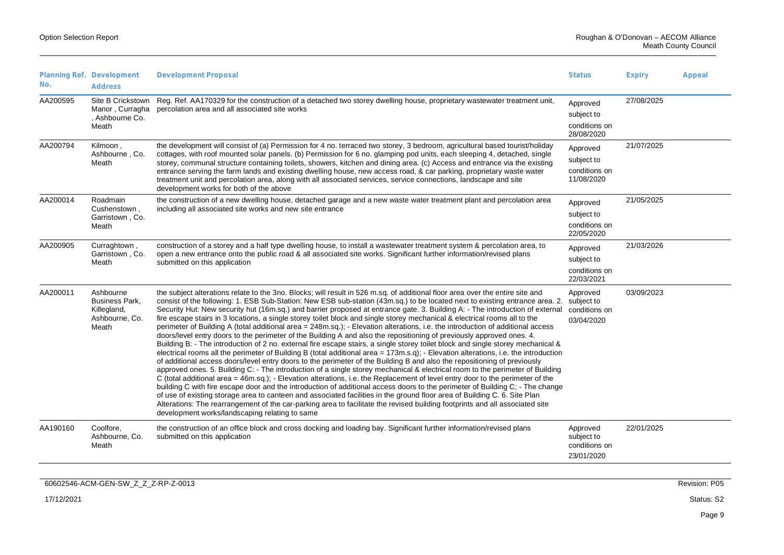|          | Planning Ref. Development                                                    | <b>Development Proposal</b>                                                                                                                                                                                                                                                                                                                                                                                                                                                                                                                                                                                                                                                                                                                                                                                                                                                                                                                                                                                                                                                                                                                                                                                                                                                                                                                                                                                                                                                                                                                                                                                                                                                                                                                                                                                                                                                                                                      | <b>Status</b>                                         | <b>Expiry</b> | Appeal |
|----------|------------------------------------------------------------------------------|----------------------------------------------------------------------------------------------------------------------------------------------------------------------------------------------------------------------------------------------------------------------------------------------------------------------------------------------------------------------------------------------------------------------------------------------------------------------------------------------------------------------------------------------------------------------------------------------------------------------------------------------------------------------------------------------------------------------------------------------------------------------------------------------------------------------------------------------------------------------------------------------------------------------------------------------------------------------------------------------------------------------------------------------------------------------------------------------------------------------------------------------------------------------------------------------------------------------------------------------------------------------------------------------------------------------------------------------------------------------------------------------------------------------------------------------------------------------------------------------------------------------------------------------------------------------------------------------------------------------------------------------------------------------------------------------------------------------------------------------------------------------------------------------------------------------------------------------------------------------------------------------------------------------------------|-------------------------------------------------------|---------------|--------|
| No.      | <b>Address</b>                                                               |                                                                                                                                                                                                                                                                                                                                                                                                                                                                                                                                                                                                                                                                                                                                                                                                                                                                                                                                                                                                                                                                                                                                                                                                                                                                                                                                                                                                                                                                                                                                                                                                                                                                                                                                                                                                                                                                                                                                  |                                                       |               |        |
| AA200595 | Site B Crickstown<br>Manor, Curragha<br>, Ashbourne Co.<br>Meath             | Reg. Ref. AA170329 for the construction of a detached two storey dwelling house, proprietary wastewater treatment unit,<br>percolation area and all associated site works                                                                                                                                                                                                                                                                                                                                                                                                                                                                                                                                                                                                                                                                                                                                                                                                                                                                                                                                                                                                                                                                                                                                                                                                                                                                                                                                                                                                                                                                                                                                                                                                                                                                                                                                                        | Approved<br>subject to<br>conditions on<br>28/08/2020 | 27/08/2025    |        |
| AA200794 | Kilmoon,<br>Ashbourne, Co.<br>Meath                                          | the development will consist of (a) Permission for 4 no. terraced two storey, 3 bedroom, agricultural based tourist/holiday<br>cottages, with roof mounted solar panels. (b) Permission for 6 no. glamping pod units, each sleeping 4, detached, single<br>storey, communal structure containing toilets, showers, kitchen and dining area. (c) Access and entrance via the existing<br>entrance serving the farm lands and existing dwelling house, new access road, & car parking, proprietary waste water<br>treatment unit and percolation area, along with all associated services, service connections, landscape and site<br>development works for both of the above                                                                                                                                                                                                                                                                                                                                                                                                                                                                                                                                                                                                                                                                                                                                                                                                                                                                                                                                                                                                                                                                                                                                                                                                                                                      | Approved<br>subject to<br>conditions on<br>11/08/2020 | 21/07/2025    |        |
| AA200014 | Roadmain<br>Cushenstown,<br>Garristown, Co.<br>Meath                         | the construction of a new dwelling house, detached garage and a new waste water treatment plant and percolation area<br>including all associated site works and new site entrance                                                                                                                                                                                                                                                                                                                                                                                                                                                                                                                                                                                                                                                                                                                                                                                                                                                                                                                                                                                                                                                                                                                                                                                                                                                                                                                                                                                                                                                                                                                                                                                                                                                                                                                                                | Approved<br>subject to<br>conditions on<br>22/05/2020 | 21/05/2025    |        |
| AA200905 | Curraghtown,<br>Garristown, Co.<br>Meath                                     | construction of a storey and a half type dwelling house, to install a wastewater treatment system & percolation area, to<br>open a new entrance onto the public road & all associated site works. Significant further information/revised plans<br>submitted on this application                                                                                                                                                                                                                                                                                                                                                                                                                                                                                                                                                                                                                                                                                                                                                                                                                                                                                                                                                                                                                                                                                                                                                                                                                                                                                                                                                                                                                                                                                                                                                                                                                                                 | Approved<br>subject to<br>conditions on<br>22/03/2021 | 21/03/2026    |        |
| AA200011 | Ashbourne<br><b>Business Park.</b><br>Killegland,<br>Ashbourne, Co.<br>Meath | the subject alterations relate to the 3no. Blocks; will result in 526 m.sq. of additional floor area over the entire site and<br>consist of the following: 1. ESB Sub-Station: New ESB sub-station (43m.sq.) to be located next to existing entrance area. 2. subject to<br>Security Hut: New security hut (16m.sq.) and barrier proposed at entrance gate. 3. Building A: - The introduction of external<br>fire escape stairs in 3 locations, a single storey toilet block and single storey mechanical & electrical rooms all to the<br>perimeter of Building A (total additional area = 248m.sq.); - Elevation alterations, i.e. the introduction of additional access<br>doors/level entry doors to the perimeter of the Building A and also the repositioning of previously approved ones. 4.<br>Building B: - The introduction of 2 no. external fire escape stairs, a single storey toilet block and single storey mechanical &<br>electrical rooms all the perimeter of Building B (total additional area = $173$ m.s.q); - Elevation alterations, i.e. the introduction<br>of additional access doors/level entry doors to the perimeter of the Building B and also the repositioning of previously<br>approved ones. 5. Building C: - The introduction of a single storey mechanical & electrical room to the perimeter of Building<br>C (total additional area = 46m.sq.); - Elevation alterations, i.e. the Replacement of level entry door to the perimeter of the<br>building C with fire escape door and the introduction of additional access doors to the perimeter of Building C; - The change<br>of use of existing storage area to canteen and associated facilities in the ground floor area of Building C. 6. Site Plan<br>Alterations: The rearrangement of the car-parking area to facilitate the revised building footprints and all associated site<br>development works/landscaping relating to same | Approved<br>conditions on<br>03/04/2020               | 03/09/2023    |        |
| AA190160 | Coolfore.<br>Ashbourne, Co.<br>Meath                                         | the construction of an office block and cross docking and loading bay. Significant further information/revised plans<br>submitted on this application                                                                                                                                                                                                                                                                                                                                                                                                                                                                                                                                                                                                                                                                                                                                                                                                                                                                                                                                                                                                                                                                                                                                                                                                                                                                                                                                                                                                                                                                                                                                                                                                                                                                                                                                                                            | Approved<br>subject to<br>conditions on<br>23/01/2020 | 22/01/2025    |        |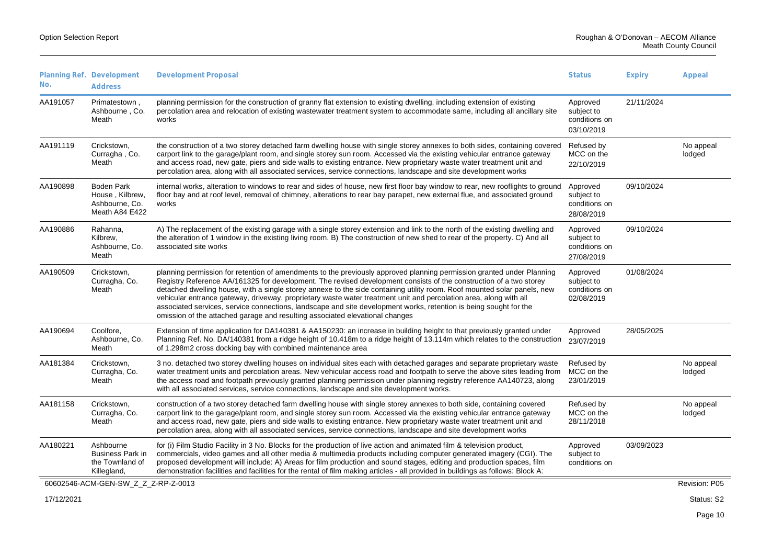| No.        | Planning Ref. Development<br><b>Address</b>                              | <b>Development Proposal</b>                                                                                                                                                                                                                                                                                                                                                                                                                                                                                                                                                                                                                                                                       | <b>Status</b>                                         | <b>Expiry</b> | Appeal              |
|------------|--------------------------------------------------------------------------|---------------------------------------------------------------------------------------------------------------------------------------------------------------------------------------------------------------------------------------------------------------------------------------------------------------------------------------------------------------------------------------------------------------------------------------------------------------------------------------------------------------------------------------------------------------------------------------------------------------------------------------------------------------------------------------------------|-------------------------------------------------------|---------------|---------------------|
| AA191057   | Primatestown,<br>Ashbourne, Co.<br>Meath                                 | planning permission for the construction of granny flat extension to existing dwelling, including extension of existing<br>percolation area and relocation of existing wastewater treatment system to accommodate same, including all ancillary site<br>works                                                                                                                                                                                                                                                                                                                                                                                                                                     | Approved<br>subject to<br>conditions on<br>03/10/2019 | 21/11/2024    |                     |
| AA191119   | Crickstown,<br>Curragha, Co.<br>Meath                                    | the construction of a two storey detached farm dwelling house with single storey annexes to both sides, containing covered<br>carport link to the garage/plant room, and single storey sun room. Accessed via the existing vehicular entrance gateway<br>and access road, new gate, piers and side walls to existing entrance. New proprietary waste water treatment unit and<br>percolation area, along with all associated services, service connections, landscape and site development works                                                                                                                                                                                                  | Refused by<br>MCC on the<br>22/10/2019                |               | No appeal<br>lodged |
| AA190898   | <b>Boden Park</b><br>House, Kilbrew,<br>Ashbourne, Co.<br>Meath A84 E422 | internal works, alteration to windows to rear and sides of house, new first floor bay window to rear, new rooflights to ground<br>floor bay and at roof level, removal of chimney, alterations to rear bay parapet, new external flue, and associated ground<br>works                                                                                                                                                                                                                                                                                                                                                                                                                             | Approved<br>subject to<br>conditions on<br>28/08/2019 | 09/10/2024    |                     |
| AA190886   | Rahanna,<br>Kilbrew,<br>Ashbourne, Co.<br>Meath                          | A) The replacement of the existing garage with a single storey extension and link to the north of the existing dwelling and<br>the alteration of 1 window in the existing living room. B) The construction of new shed to rear of the property. C) And all<br>associated site works                                                                                                                                                                                                                                                                                                                                                                                                               | Approved<br>subject to<br>conditions on<br>27/08/2019 | 09/10/2024    |                     |
| AA190509   | Crickstown,<br>Curragha, Co.<br>Meath                                    | planning permission for retention of amendments to the previously approved planning permission granted under Planning<br>Registry Reference AA/161325 for development. The revised development consists of the construction of a two storey<br>detached dwelling house, with a single storey annexe to the side containing utility room. Roof mounted solar panels, new<br>vehicular entrance gateway, driveway, proprietary waste water treatment unit and percolation area, along with all<br>associated services, service connections, landscape and site development works, retention is being sought for the<br>omission of the attached garage and resulting associated elevational changes | Approved<br>subject to<br>conditions on<br>02/08/2019 | 01/08/2024    |                     |
| AA190694   | Coolfore.<br>Ashbourne, Co.<br>Meath                                     | Extension of time application for DA140381 & AA150230: an increase in building height to that previously granted under<br>Planning Ref. No. DA/140381 from a ridge height of 10.418m to a ridge height of 13.114m which relates to the construction<br>of 1.298m2 cross docking bay with combined maintenance area                                                                                                                                                                                                                                                                                                                                                                                | Approved<br>23/07/2019                                | 28/05/2025    |                     |
| AA181384   | Crickstown,<br>Curragha, Co.<br>Meath                                    | 3 no. detached two storey dwelling houses on individual sites each with detached garages and separate proprietary waste<br>water treatment units and percolation areas. New vehicular access road and footpath to serve the above sites leading from<br>the access road and footpath previously granted planning permission under planning registry reference AA140723, along<br>with all associated services, service connections, landscape and site development works.                                                                                                                                                                                                                         | Refused by<br>MCC on the<br>23/01/2019                |               | No appeal<br>lodged |
| AA181158   | Crickstown,<br>Curragha, Co.<br>Meath                                    | construction of a two storey detached farm dwelling house with single storey annexes to both side, containing covered<br>carport link to the garage/plant room, and single storey sun room. Accessed via the existing vehicular entrance gateway<br>and access road, new gate, piers and side walls to existing entrance. New proprietary waste water treatment unit and<br>percolation area, along with all associated services, service connections, landscape and site development works                                                                                                                                                                                                       | Refused by<br>MCC on the<br>28/11/2018                |               | No appeal<br>lodged |
| AA180221   | Ashbourne<br><b>Business Park in</b><br>the Townland of<br>Killegland,   | for (i) Film Studio Facility in 3 No. Blocks for the production of live action and animated film & television product,<br>commercials, video games and all other media & multimedia products including computer generated imagery (CGI). The<br>proposed development will include: A) Areas for film production and sound stages, editing and production spaces, film<br>demonstration facilities and facilities for the rental of film making articles - all provided in buildings as follows: Block A:                                                                                                                                                                                          | Approved<br>subject to<br>conditions on               | 03/09/2023    |                     |
|            | 60602546-ACM-GEN-SW_Z_Z_Z-RP-Z-0013                                      |                                                                                                                                                                                                                                                                                                                                                                                                                                                                                                                                                                                                                                                                                                   |                                                       |               | Revision: P05       |
| 17/12/2021 |                                                                          |                                                                                                                                                                                                                                                                                                                                                                                                                                                                                                                                                                                                                                                                                                   |                                                       |               | Status: S2          |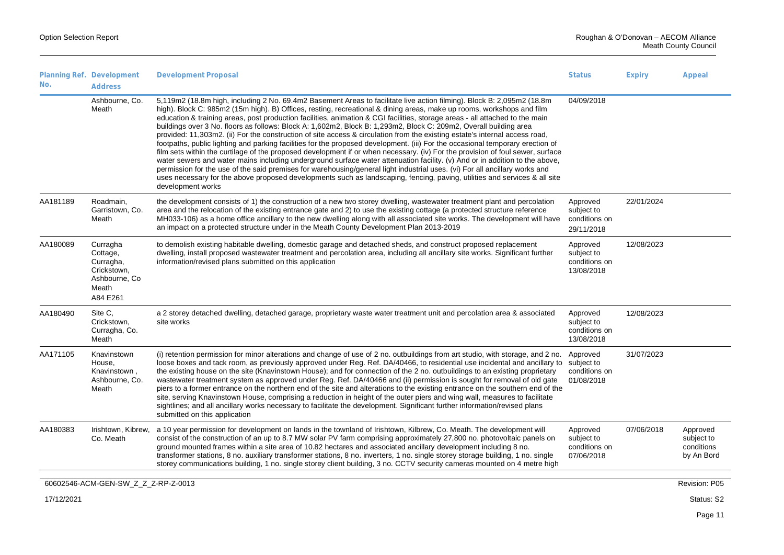|                                                                                                                                                                                                                                                                                                                                                                                                                                                                                                                                                                                                                                                                                                                                                                                                                                                                                                                                                                                                                                                                                                                                                                                                                                                                                                     | <b>Status</b><br><b>Expiry</b>                                                                                                                                                                 | Appeal                                                                                                                                                                                                                                                                                                                                                                                                                                                                                                                       |
|-----------------------------------------------------------------------------------------------------------------------------------------------------------------------------------------------------------------------------------------------------------------------------------------------------------------------------------------------------------------------------------------------------------------------------------------------------------------------------------------------------------------------------------------------------------------------------------------------------------------------------------------------------------------------------------------------------------------------------------------------------------------------------------------------------------------------------------------------------------------------------------------------------------------------------------------------------------------------------------------------------------------------------------------------------------------------------------------------------------------------------------------------------------------------------------------------------------------------------------------------------------------------------------------------------|------------------------------------------------------------------------------------------------------------------------------------------------------------------------------------------------|------------------------------------------------------------------------------------------------------------------------------------------------------------------------------------------------------------------------------------------------------------------------------------------------------------------------------------------------------------------------------------------------------------------------------------------------------------------------------------------------------------------------------|
| 5,119m2 (18.8m high, including 2 No. 69.4m2 Basement Areas to facilitate live action filming). Block B: 2,095m2 (18.8m<br>high). Block C: 985m2 (15m high). B) Offices, resting, recreational & dining areas, make up rooms, workshops and film<br>education & training areas, post production facilities, animation & CGI facilities, storage areas - all attached to the main<br>buildings over 3 No. floors as follows: Block A: 1,602m2, Block B: 1,293m2, Block C: 209m2, Overall building area<br>provided: 11,303m2. (ii) For the construction of site access & circulation from the existing estate's internal access road,<br>footpaths, public lighting and parking facilities for the proposed development. (iii) For the occasional temporary erection of<br>film sets within the curtilage of the proposed development if or when necessary. (iv) For the provision of foul sewer, surface<br>water sewers and water mains including underground surface water attenuation facility. (v) And or in addition to the above,<br>permission for the use of the said premises for warehousing/general light industrial uses. (vi) For all ancillary works and<br>uses necessary for the above proposed developments such as landscaping, fencing, paving, utilities and services & all site | 04/09/2018                                                                                                                                                                                     |                                                                                                                                                                                                                                                                                                                                                                                                                                                                                                                              |
| the development consists of 1) the construction of a new two storey dwelling, wastewater treatment plant and percolation<br>area and the relocation of the existing entrance gate and 2) to use the existing cottage (a protected structure reference<br>MH033-106) as a home office ancillary to the new dwelling along with all associated site works. The development will have<br>an impact on a protected structure under in the Meath County Development Plan 2013-2019                                                                                                                                                                                                                                                                                                                                                                                                                                                                                                                                                                                                                                                                                                                                                                                                                       | Approved<br>22/01/2024<br>subject to<br>conditions on<br>29/11/2018                                                                                                                            |                                                                                                                                                                                                                                                                                                                                                                                                                                                                                                                              |
| to demolish existing habitable dwelling, domestic garage and detached sheds, and construct proposed replacement<br>dwelling, install proposed wastewater treatment and percolation area, including all ancillary site works. Significant further<br>information/revised plans submitted on this application                                                                                                                                                                                                                                                                                                                                                                                                                                                                                                                                                                                                                                                                                                                                                                                                                                                                                                                                                                                         | 12/08/2023<br>Approved<br>subject to<br>conditions on<br>13/08/2018                                                                                                                            |                                                                                                                                                                                                                                                                                                                                                                                                                                                                                                                              |
| a 2 storey detached dwelling, detached garage, proprietary waste water treatment unit and percolation area & associated                                                                                                                                                                                                                                                                                                                                                                                                                                                                                                                                                                                                                                                                                                                                                                                                                                                                                                                                                                                                                                                                                                                                                                             | Approved<br>12/08/2023<br>subject to<br>conditions on<br>13/08/2018                                                                                                                            |                                                                                                                                                                                                                                                                                                                                                                                                                                                                                                                              |
| (i) retention permission for minor alterations and change of use of 2 no. outbuildings from art studio, with storage, and 2 no.<br>the existing house on the site (Knavinstown House); and for connection of the 2 no. outbuildings to an existing proprietary<br>wastewater treatment system as approved under Reg. Ref. DA/40466 and (ii) permission is sought for removal of old gate<br>piers to a former entrance on the northern end of the site and alterations to the existing entrance on the southern end of the<br>site, serving Knavinstown House, comprising a reduction in height of the outer piers and wing wall, measures to facilitate<br>sightlines; and all ancillary works necessary to facilitate the development. Significant further information/revised plans                                                                                                                                                                                                                                                                                                                                                                                                                                                                                                              | 31/07/2023<br>Approved<br>loose boxes and tack room, as previously approved under Reg. Ref. DA/40466, to residential use incidental and ancillary to subject to<br>conditions on<br>01/08/2018 |                                                                                                                                                                                                                                                                                                                                                                                                                                                                                                                              |
|                                                                                                                                                                                                                                                                                                                                                                                                                                                                                                                                                                                                                                                                                                                                                                                                                                                                                                                                                                                                                                                                                                                                                                                                                                                                                                     | Approved<br>subject to<br>conditions on<br>07/06/2018                                                                                                                                          | Approved<br>subject to<br>conditions<br>by An Bord                                                                                                                                                                                                                                                                                                                                                                                                                                                                           |
|                                                                                                                                                                                                                                                                                                                                                                                                                                                                                                                                                                                                                                                                                                                                                                                                                                                                                                                                                                                                                                                                                                                                                                                                                                                                                                     | ground mounted frames within a site area of 10.82 hectares and associated ancillary development including 8 no.                                                                                | a 10 year permission for development on lands in the townland of Irishtown, Kilbrew, Co. Meath. The development will<br>07/06/2018<br>consist of the construction of an up to 8.7 MW solar PV farm comprising approximately 27,800 no. photovoltaic panels on<br>transformer stations, 8 no. auxiliary transformer stations, 8 no. inverters, 1 no. single storey storage building, 1 no. single<br>storey communications building, 1 no. single storey client building, 3 no. CCTV security cameras mounted on 4 metre high |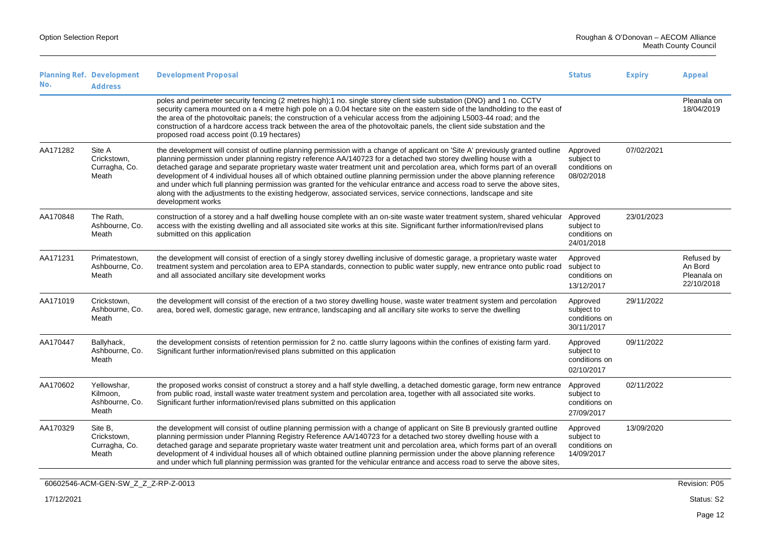| No.      | Planning Ref. Development<br><b>Address</b>        | <b>Development Proposal</b>                                                                                                                                                                                                                                                                                                                                                                                                                                                                                                                                                                                                                                                                                                                                                    | <b>Status</b>                                         | <b>Expiry</b> | Appeal                                             |
|----------|----------------------------------------------------|--------------------------------------------------------------------------------------------------------------------------------------------------------------------------------------------------------------------------------------------------------------------------------------------------------------------------------------------------------------------------------------------------------------------------------------------------------------------------------------------------------------------------------------------------------------------------------------------------------------------------------------------------------------------------------------------------------------------------------------------------------------------------------|-------------------------------------------------------|---------------|----------------------------------------------------|
|          |                                                    | poles and perimeter security fencing (2 metres high); 1 no. single storey client side substation (DNO) and 1 no. CCTV<br>security camera mounted on a 4 metre high pole on a 0.04 hectare site on the eastern side of the landholding to the east of<br>the area of the photovoltaic panels; the construction of a vehicular access from the adjoining L5003-44 road; and the<br>construction of a hardcore access track between the area of the photovoltaic panels, the client side substation and the<br>proposed road access point (0.19 hectares)                                                                                                                                                                                                                         |                                                       |               | Pleanala on<br>18/04/2019                          |
| AA171282 | Site A<br>Crickstown.<br>Curragha, Co.<br>Meath    | the development will consist of outline planning permission with a change of applicant on 'Site A' previously granted outline<br>planning permission under planning registry reference AA/140723 for a detached two storey dwelling house with a<br>detached garage and separate proprietary waste water treatment unit and percolation area, which forms part of an overall<br>development of 4 individual houses all of which obtained outline planning permission under the above planning reference<br>and under which full planning permission was granted for the vehicular entrance and access road to serve the above sites,<br>along with the adjustments to the existing hedgerow, associated services, service connections, landscape and site<br>development works | Approved<br>subject to<br>conditions on<br>08/02/2018 | 07/02/2021    |                                                    |
| AA170848 | The Rath,<br>Ashbourne, Co.<br>Meath               | construction of a storey and a half dwelling house complete with an on-site waste water treatment system, shared vehicular<br>access with the existing dwelling and all associated site works at this site. Significant further information/revised plans<br>submitted on this application                                                                                                                                                                                                                                                                                                                                                                                                                                                                                     | Approved<br>subject to<br>conditions on<br>24/01/2018 | 23/01/2023    |                                                    |
| AA171231 | Primatestown,<br>Ashbourne, Co.<br>Meath           | the development will consist of erection of a singly storey dwelling inclusive of domestic garage, a proprietary waste water<br>treatment system and percolation area to EPA standards, connection to public water supply, new entrance onto public road<br>and all associated ancillary site development works                                                                                                                                                                                                                                                                                                                                                                                                                                                                | Approved<br>subject to<br>conditions on<br>13/12/2017 |               | Refused by<br>An Bord<br>Pleanala on<br>22/10/2018 |
| AA171019 | Crickstown,<br>Ashbourne, Co.<br>Meath             | the development will consist of the erection of a two storey dwelling house, waste water treatment system and percolation<br>area, bored well, domestic garage, new entrance, landscaping and all ancillary site works to serve the dwelling                                                                                                                                                                                                                                                                                                                                                                                                                                                                                                                                   | Approved<br>subject to<br>conditions on<br>30/11/2017 | 29/11/2022    |                                                    |
| AA170447 | Ballyhack,<br>Ashbourne, Co.<br>Meath              | the development consists of retention permission for 2 no. cattle slurry lagoons within the confines of existing farm yard.<br>Significant further information/revised plans submitted on this application                                                                                                                                                                                                                                                                                                                                                                                                                                                                                                                                                                     | Approved<br>subject to<br>conditions on<br>02/10/2017 | 09/11/2022    |                                                    |
| AA170602 | Yellowshar,<br>Kilmoon.<br>Ashbourne, Co.<br>Meath | the proposed works consist of construct a storey and a half style dwelling, a detached domestic garage, form new entrance<br>from public road, install waste water treatment system and percolation area, together with all associated site works.<br>Significant further information/revised plans submitted on this application                                                                                                                                                                                                                                                                                                                                                                                                                                              | Approved<br>subject to<br>conditions on<br>27/09/2017 | 02/11/2022    |                                                    |
| AA170329 | Site B,<br>Crickstown,<br>Curragha, Co.<br>Meath   | the development will consist of outline planning permission with a change of applicant on Site B previously granted outline<br>planning permission under Planning Registry Reference AA/140723 for a detached two storey dwelling house with a<br>detached garage and separate proprietary waste water treatment unit and percolation area, which forms part of an overall<br>development of 4 individual houses all of which obtained outline planning permission under the above planning reference<br>and under which full planning permission was granted for the vehicular entrance and access road to serve the above sites,                                                                                                                                             | Approved<br>subject to<br>conditions on<br>14/09/2017 | 13/09/2020    |                                                    |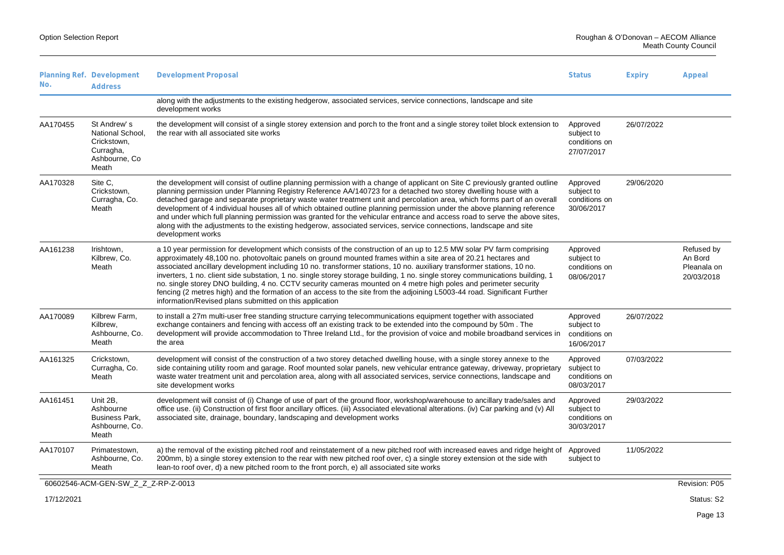| No.        | Planning Ref. Development<br><b>Address</b>                                            | <b>Development Proposal</b>                                                                                                                                                                                                                                                                                                                                                                                                                                                                                                                                                                                                                                                                                                                                                                                 | <b>Status</b>                                         | <b>Expiry</b> | Appeal                                             |
|------------|----------------------------------------------------------------------------------------|-------------------------------------------------------------------------------------------------------------------------------------------------------------------------------------------------------------------------------------------------------------------------------------------------------------------------------------------------------------------------------------------------------------------------------------------------------------------------------------------------------------------------------------------------------------------------------------------------------------------------------------------------------------------------------------------------------------------------------------------------------------------------------------------------------------|-------------------------------------------------------|---------------|----------------------------------------------------|
|            |                                                                                        | along with the adjustments to the existing hedgerow, associated services, service connections, landscape and site<br>development works                                                                                                                                                                                                                                                                                                                                                                                                                                                                                                                                                                                                                                                                      |                                                       |               |                                                    |
| AA170455   | St Andrew's<br>National School,<br>Crickstown,<br>Curragha,<br>Ashbourne, Co.<br>Meath | the development will consist of a single storey extension and porch to the front and a single storey toilet block extension to<br>the rear with all associated site works                                                                                                                                                                                                                                                                                                                                                                                                                                                                                                                                                                                                                                   | Approved<br>subject to<br>conditions on<br>27/07/2017 | 26/07/2022    |                                                    |
| AA170328   | Site C,<br>Crickstown,<br>Curragha, Co.<br>Meath                                       | the development will consist of outline planning permission with a change of applicant on Site C previously granted outline<br>planning permission under Planning Registry Reference AA/140723 for a detached two storey dwelling house with a<br>detached garage and separate proprietary waste water treatment unit and percolation area, which forms part of an overall<br>development of 4 individual houses all of which obtained outline planning permission under the above planning reference<br>and under which full planning permission was granted for the vehicular entrance and access road to serve the above sites,<br>along with the adjustments to the existing hedgerow, associated services, service connections, landscape and site<br>development works                                | Approved<br>subject to<br>conditions on<br>30/06/2017 | 29/06/2020    |                                                    |
| AA161238   | Irishtown,<br>Kilbrew, Co.<br>Meath                                                    | a 10 year permission for development which consists of the construction of an up to 12.5 MW solar PV farm comprising<br>approximately 48,100 no. photovoltaic panels on ground mounted frames within a site area of 20.21 hectares and<br>associated ancillary development including 10 no. transformer stations, 10 no. auxiliary transformer stations, 10 no.<br>inverters, 1 no. client side substation, 1 no. single storey storage building, 1 no. single storey communications building, 1<br>no. single storey DNO building, 4 no. CCTV security cameras mounted on 4 metre high poles and perimeter security<br>fencing (2 metres high) and the formation of an access to the site from the adjoining L5003-44 road. Significant Further<br>information/Revised plans submitted on this application | Approved<br>subject to<br>conditions on<br>08/06/2017 |               | Refused by<br>An Bord<br>Pleanala on<br>20/03/2018 |
| AA170089   | Kilbrew Farm,<br>Kilbrew,<br>Ashbourne, Co.<br>Meath                                   | to install a 27m multi-user free standing structure carrying telecommunications equipment together with associated<br>exchange containers and fencing with access off an existing track to be extended into the compound by 50m. The<br>development will provide accommodation to Three Ireland Ltd., for the provision of voice and mobile broadband services in<br>the area                                                                                                                                                                                                                                                                                                                                                                                                                               | Approved<br>subject to<br>conditions on<br>16/06/2017 | 26/07/2022    |                                                    |
| AA161325   | Crickstown,<br>Curragha, Co.<br>Meath                                                  | development will consist of the construction of a two storey detached dwelling house, with a single storey annexe to the<br>side containing utility room and garage. Roof mounted solar panels, new vehicular entrance gateway, driveway, proprietary<br>waste water treatment unit and percolation area, along with all associated services, service connections, landscape and<br>site development works                                                                                                                                                                                                                                                                                                                                                                                                  | Approved<br>subject to<br>conditions on<br>08/03/2017 | 07/03/2022    |                                                    |
| AA161451   | Unit 2B,<br>Ashbourne<br><b>Business Park,</b><br>Ashbourne, Co.<br>Meath              | development will consist of (i) Change of use of part of the ground floor, workshop/warehouse to ancillary trade/sales and<br>office use. (ii) Construction of first floor ancillary offices. (iii) Associated elevational alterations. (iv) Car parking and (v) All<br>associated site, drainage, boundary, landscaping and development works                                                                                                                                                                                                                                                                                                                                                                                                                                                              | Approved<br>subject to<br>conditions on<br>30/03/2017 | 29/03/2022    |                                                    |
| AA170107   | Primatestown,<br>Ashbourne, Co.<br>Meath                                               | a) the removal of the existing pitched roof and reinstatement of a new pitched roof with increased eaves and ridge height of<br>200mm, b) a single storey extension to the rear with new pitched roof over, c) a single storey extension ot the side with<br>lean-to roof over, d) a new pitched room to the front porch, e) all associated site works                                                                                                                                                                                                                                                                                                                                                                                                                                                      | Approved<br>subject to                                | 11/05/2022    |                                                    |
|            | 60602546-ACM-GEN-SW_Z_Z_Z-RP-Z-0013                                                    |                                                                                                                                                                                                                                                                                                                                                                                                                                                                                                                                                                                                                                                                                                                                                                                                             |                                                       |               | Revision: P05                                      |
| 17/12/2021 |                                                                                        |                                                                                                                                                                                                                                                                                                                                                                                                                                                                                                                                                                                                                                                                                                                                                                                                             |                                                       |               | Status: S2                                         |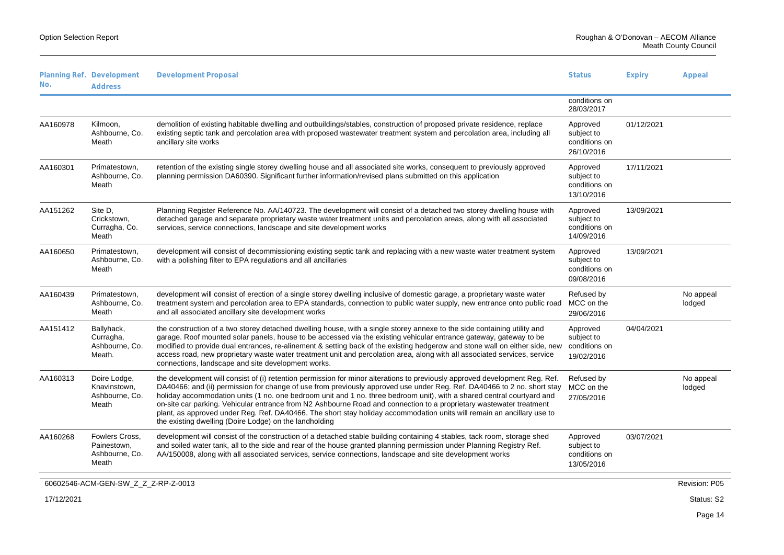Meath County Council

| No.        | Planning Ref. Development<br><b>Address</b>              | <b>Development Proposal</b>                                                                                                                                                                                                                                                                                                                                                                                                                                                                                                                                                                                                                                                                 | <b>Status</b>                                         | <b>Expiry</b> | Appeal              |
|------------|----------------------------------------------------------|---------------------------------------------------------------------------------------------------------------------------------------------------------------------------------------------------------------------------------------------------------------------------------------------------------------------------------------------------------------------------------------------------------------------------------------------------------------------------------------------------------------------------------------------------------------------------------------------------------------------------------------------------------------------------------------------|-------------------------------------------------------|---------------|---------------------|
|            |                                                          |                                                                                                                                                                                                                                                                                                                                                                                                                                                                                                                                                                                                                                                                                             | conditions on<br>28/03/2017                           |               |                     |
| AA160978   | Kilmoon,<br>Ashbourne, Co.<br>Meath                      | demolition of existing habitable dwelling and outbuildings/stables, construction of proposed private residence, replace<br>existing septic tank and percolation area with proposed wastewater treatment system and percolation area, including all<br>ancillary site works                                                                                                                                                                                                                                                                                                                                                                                                                  | Approved<br>subject to<br>conditions on<br>26/10/2016 | 01/12/2021    |                     |
| AA160301   | Primatestown,<br>Ashbourne, Co.<br>Meath                 | retention of the existing single storey dwelling house and all associated site works, consequent to previously approved<br>planning permission DA60390. Significant further information/revised plans submitted on this application                                                                                                                                                                                                                                                                                                                                                                                                                                                         | Approved<br>subject to<br>conditions on<br>13/10/2016 | 17/11/2021    |                     |
| AA151262   | Site D.<br>Crickstown,<br>Curragha, Co.<br>Meath         | Planning Register Reference No. AA/140723. The development will consist of a detached two storey dwelling house with<br>detached garage and separate proprietary waste water treatment units and percolation areas, along with all associated<br>services, service connections, landscape and site development works                                                                                                                                                                                                                                                                                                                                                                        | Approved<br>subject to<br>conditions on<br>14/09/2016 | 13/09/2021    |                     |
| AA160650   | Primatestown,<br>Ashbourne, Co.<br>Meath                 | development will consist of decommissioning existing septic tank and replacing with a new waste water treatment system<br>with a polishing filter to EPA regulations and all ancillaries                                                                                                                                                                                                                                                                                                                                                                                                                                                                                                    | Approved<br>subject to<br>conditions on<br>09/08/2016 | 13/09/2021    |                     |
| AA160439   | Primatestown,<br>Ashbourne, Co.<br>Meath                 | development will consist of erection of a single storey dwelling inclusive of domestic garage, a proprietary waste water<br>treatment system and percolation area to EPA standards, connection to public water supply, new entrance onto public road MCC on the<br>and all associated ancillary site development works                                                                                                                                                                                                                                                                                                                                                                      | Refused by<br>29/06/2016                              |               | No appeal<br>lodged |
| AA151412   | Ballyhack,<br>Curragha,<br>Ashbourne, Co.<br>Meath.      | the construction of a two storey detached dwelling house, with a single storey annexe to the side containing utility and<br>garage. Roof mounted solar panels, house to be accessed via the existing vehicular entrance gateway, gateway to be<br>modified to provide dual entrances, re-alinement & setting back of the existing hedgerow and stone wall on either side, new<br>access road, new proprietary waste water treatment unit and percolation area, along with all associated services, service<br>connections, landscape and site development works.                                                                                                                            | Approved<br>subject to<br>conditions on<br>19/02/2016 | 04/04/2021    |                     |
| AA160313   | Doire Lodge,<br>Knavinstown,<br>Ashbourne, Co.<br>Meath  | the development will consist of (i) retention permission for minor alterations to previously approved development Reg. Ref.<br>DA40466; and (ii) permission for change of use from previously approved use under Reg. Ref. DA40466 to 2 no. short stay<br>holiday accommodation units (1 no. one bedroom unit and 1 no. three bedroom unit), with a shared central courtyard and<br>on-site car parking. Vehicular entrance from N2 Ashbourne Road and connection to a proprietary wastewater treatment<br>plant, as approved under Reg. Ref. DA40466. The short stay holiday accommodation units will remain an ancillary use to<br>the existing dwelling (Doire Lodge) on the landholding | Refused by<br>MCC on the<br>27/05/2016                |               | No appeal<br>lodged |
| AA160268   | Fowlers Cross,<br>Painestown,<br>Ashbourne, Co.<br>Meath | development will consist of the construction of a detached stable building containing 4 stables, tack room, storage shed<br>and soiled water tank, all to the side and rear of the house granted planning permission under Planning Registry Ref.<br>AA/150008, along with all associated services, service connections, landscape and site development works                                                                                                                                                                                                                                                                                                                               | Approved<br>subject to<br>conditions on<br>13/05/2016 | 03/07/2021    |                     |
|            | 60602546-ACM-GEN-SW_Z_Z_Z-RP-Z-0013                      |                                                                                                                                                                                                                                                                                                                                                                                                                                                                                                                                                                                                                                                                                             |                                                       |               | Revision: P05       |
| 17/12/2021 |                                                          |                                                                                                                                                                                                                                                                                                                                                                                                                                                                                                                                                                                                                                                                                             |                                                       |               | Status: S2          |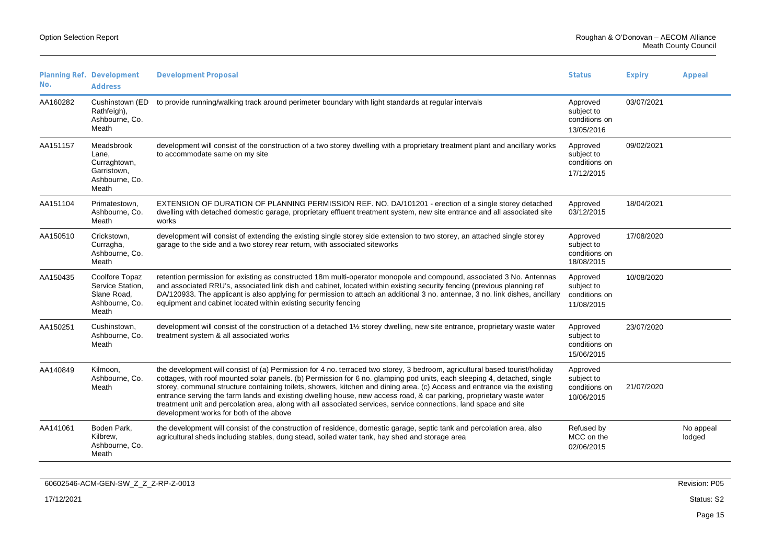| No.      | Planning Ref. Development<br><b>Address</b>                                   | <b>Development Proposal</b>                                                                                                                                                                                                                                                                                                                                                                                                                                                                                                                                                                                                                                                  | <b>Status</b>                                         | <b>Expiry</b> | Appeal              |
|----------|-------------------------------------------------------------------------------|------------------------------------------------------------------------------------------------------------------------------------------------------------------------------------------------------------------------------------------------------------------------------------------------------------------------------------------------------------------------------------------------------------------------------------------------------------------------------------------------------------------------------------------------------------------------------------------------------------------------------------------------------------------------------|-------------------------------------------------------|---------------|---------------------|
| AA160282 | Cushinstown (ED<br>Rathfeigh),<br>Ashbourne, Co.<br>Meath                     | to provide running/walking track around perimeter boundary with light standards at regular intervals                                                                                                                                                                                                                                                                                                                                                                                                                                                                                                                                                                         | Approved<br>subject to<br>conditions on<br>13/05/2016 | 03/07/2021    |                     |
| AA151157 | Meadsbrook<br>Lane.<br>Curraghtown,<br>Garristown,<br>Ashbourne, Co.<br>Meath | development will consist of the construction of a two storey dwelling with a proprietary treatment plant and ancillary works<br>to accommodate same on my site                                                                                                                                                                                                                                                                                                                                                                                                                                                                                                               | Approved<br>subject to<br>conditions on<br>17/12/2015 | 09/02/2021    |                     |
| AA151104 | Primatestown,<br>Ashbourne, Co.<br>Meath                                      | EXTENSION OF DURATION OF PLANNING PERMISSION REF. NO. DA/101201 - erection of a single storey detached<br>dwelling with detached domestic garage, proprietary effluent treatment system, new site entrance and all associated site<br>works                                                                                                                                                                                                                                                                                                                                                                                                                                  | Approved<br>03/12/2015                                | 18/04/2021    |                     |
| AA150510 | Crickstown,<br>Curragha,<br>Ashbourne, Co.<br>Meath                           | development will consist of extending the existing single storey side extension to two storey, an attached single storey<br>garage to the side and a two storey rear return, with associated siteworks                                                                                                                                                                                                                                                                                                                                                                                                                                                                       | Approved<br>subject to<br>conditions on<br>18/08/2015 | 17/08/2020    |                     |
| AA150435 | Coolfore Topaz<br>Service Station,<br>Slane Road,<br>Ashbourne, Co.<br>Meath  | retention permission for existing as constructed 18m multi-operator monopole and compound, associated 3 No. Antennas<br>and associated RRU's, associated link dish and cabinet, located within existing security fencing (previous planning ref<br>DA/120933. The applicant is also applying for permission to attach an additional 3 no. antennae, 3 no. link dishes, ancillary<br>equipment and cabinet located within existing security fencing                                                                                                                                                                                                                           | Approved<br>subject to<br>conditions on<br>11/08/2015 | 10/08/2020    |                     |
| AA150251 | Cushinstown,<br>Ashbourne, Co.<br>Meath                                       | development will consist of the construction of a detached 1½ storey dwelling, new site entrance, proprietary waste water<br>treatment system & all associated works                                                                                                                                                                                                                                                                                                                                                                                                                                                                                                         | Approved<br>subject to<br>conditions on<br>15/06/2015 | 23/07/2020    |                     |
| AA140849 | Kilmoon,<br>Ashbourne, Co.<br>Meath                                           | the development will consist of (a) Permission for 4 no. terraced two storey, 3 bedroom, agricultural based tourist/holiday<br>cottages, with roof mounted solar panels. (b) Permission for 6 no. glamping pod units, each sleeping 4, detached, single<br>storey, communal structure containing toilets, showers, kitchen and dining area. (c) Access and entrance via the existing<br>entrance serving the farm lands and existing dwelling house, new access road, & car parking, proprietary waste water<br>treatment unit and percolation area, along with all associated services, service connections, land space and site<br>development works for both of the above | Approved<br>subject to<br>conditions on<br>10/06/2015 | 21/07/2020    |                     |
| AA141061 | Boden Park,<br>Kilbrew.<br>Ashbourne, Co.<br>Meath                            | the development will consist of the construction of residence, domestic garage, septic tank and percolation area, also<br>agricultural sheds including stables, dung stead, soiled water tank, hay shed and storage area                                                                                                                                                                                                                                                                                                                                                                                                                                                     | Refused by<br>MCC on the<br>02/06/2015                |               | No appeal<br>lodged |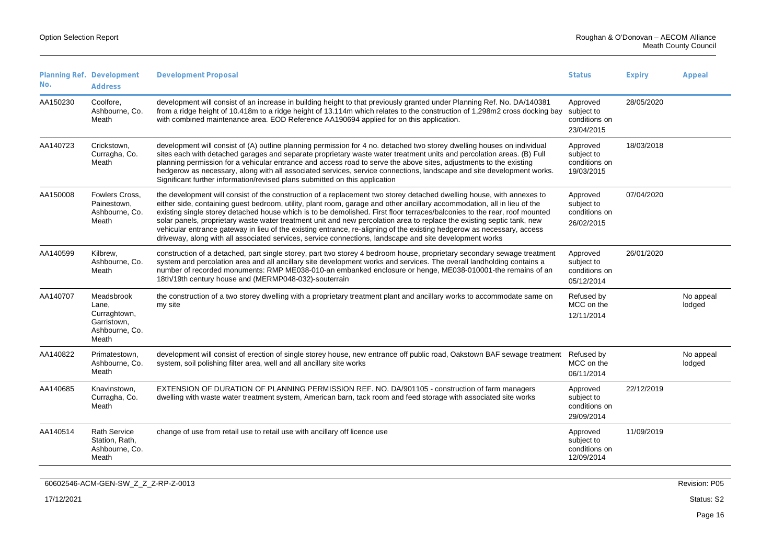| No.      | Planning Ref. Development<br><b>Address</b>                                   | <b>Development Proposal</b>                                                                                                                                                                                                                                                                                                                                                                                                                                                                                                                                                                                                                                                                                                                   | <b>Status</b>                                         | <b>Expiry</b> | Appeal              |
|----------|-------------------------------------------------------------------------------|-----------------------------------------------------------------------------------------------------------------------------------------------------------------------------------------------------------------------------------------------------------------------------------------------------------------------------------------------------------------------------------------------------------------------------------------------------------------------------------------------------------------------------------------------------------------------------------------------------------------------------------------------------------------------------------------------------------------------------------------------|-------------------------------------------------------|---------------|---------------------|
| AA150230 | Coolfore.<br>Ashbourne, Co.<br>Meath                                          | development will consist of an increase in building height to that previously granted under Planning Ref. No. DA/140381<br>from a ridge height of 10.418m to a ridge height of 13.114m which relates to the construction of 1,298m2 cross docking bay<br>with combined maintenance area. EOD Reference AA190694 applied for on this application.                                                                                                                                                                                                                                                                                                                                                                                              | Approved<br>subject to<br>conditions on<br>23/04/2015 | 28/05/2020    |                     |
| AA140723 | Crickstown.<br>Curragha, Co.<br>Meath                                         | development will consist of (A) outline planning permission for 4 no. detached two storey dwelling houses on individual<br>sites each with detached garages and separate proprietary waste water treatment units and percolation areas. (B) Full<br>planning permission for a vehicular entrance and access road to serve the above sites, adjustments to the existing<br>hedgerow as necessary, along with all associated services, service connections, landscape and site development works.<br>Significant further information/revised plans submitted on this application                                                                                                                                                                | Approved<br>subject to<br>conditions on<br>19/03/2015 | 18/03/2018    |                     |
| AA150008 | Fowlers Cross.<br>Painestown,<br>Ashbourne, Co.<br>Meath                      | the development will consist of the construction of a replacement two storey detached dwelling house, with annexes to<br>either side, containing guest bedroom, utility, plant room, garage and other ancillary accommodation, all in lieu of the<br>existing single storey detached house which is to be demolished. First floor terraces/balconies to the rear, roof mounted<br>solar panels, proprietary waste water treatment unit and new percolation area to replace the existing septic tank, new<br>vehicular entrance gateway in lieu of the existing entrance, re-aligning of the existing hedgerow as necessary, access<br>driveway, along with all associated services, service connections, landscape and site development works | Approved<br>subject to<br>conditions on<br>26/02/2015 | 07/04/2020    |                     |
| AA140599 | Kilbrew,<br>Ashbourne, Co.<br>Meath                                           | construction of a detached, part single storey, part two storey 4 bedroom house, proprietary secondary sewage treatment<br>system and percolation area and all ancillary site development works and services. The overall landholding contains a<br>number of recorded monuments: RMP ME038-010-an embanked enclosure or henge, ME038-010001-the remains of an<br>18th/19th century house and (MERMP048-032)-souterrain                                                                                                                                                                                                                                                                                                                       | Approved<br>subject to<br>conditions on<br>05/12/2014 | 26/01/2020    |                     |
| AA140707 | Meadsbrook<br>Lane.<br>Curraghtown,<br>Garristown,<br>Ashbourne, Co.<br>Meath | the construction of a two storey dwelling with a proprietary treatment plant and ancillary works to accommodate same on<br>my site                                                                                                                                                                                                                                                                                                                                                                                                                                                                                                                                                                                                            | Refused by<br>MCC on the<br>12/11/2014                |               | No appeal<br>lodged |
| AA140822 | Primatestown,<br>Ashbourne, Co.<br>Meath                                      | development will consist of erection of single storey house, new entrance off public road, Oakstown BAF sewage treatment<br>system, soil polishing filter area, well and all ancillary site works                                                                                                                                                                                                                                                                                                                                                                                                                                                                                                                                             | Refused by<br>MCC on the<br>06/11/2014                |               | No appeal<br>lodged |
| AA140685 | Knavinstown,<br>Curragha, Co.<br>Meath                                        | EXTENSION OF DURATION OF PLANNING PERMISSION REF. NO. DA/901105 - construction of farm managers<br>dwelling with waste water treatment system, American barn, tack room and feed storage with associated site works                                                                                                                                                                                                                                                                                                                                                                                                                                                                                                                           | Approved<br>subject to<br>conditions on<br>29/09/2014 | 22/12/2019    |                     |
| AA140514 | <b>Rath Service</b><br>Station, Rath,<br>Ashbourne, Co.<br>Meath              | change of use from retail use to retail use with ancillary off licence use                                                                                                                                                                                                                                                                                                                                                                                                                                                                                                                                                                                                                                                                    | Approved<br>subject to<br>conditions on<br>12/09/2014 | 11/09/2019    |                     |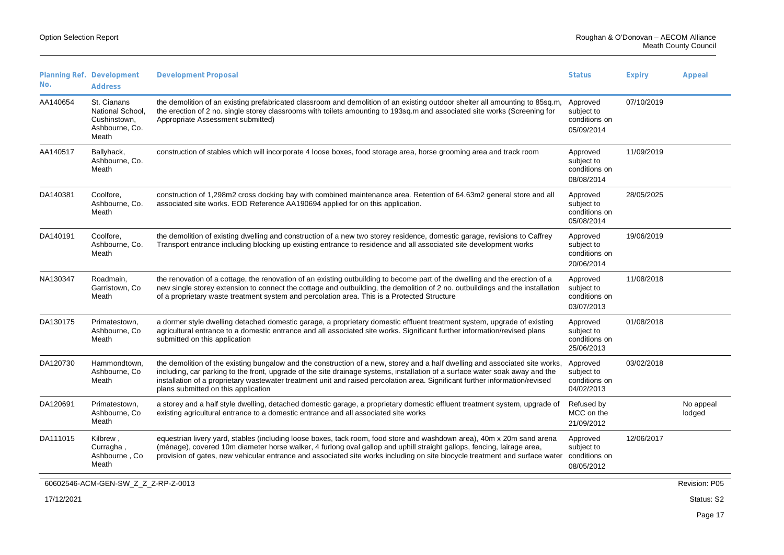| No.      | Planning Ref. Development<br><b>Address</b>                                | <b>Development Proposal</b>                                                                                                                                                                                                                                                                                                                                                                                                         | <b>Status</b>                                         | <b>Expiry</b> | Appeal              |
|----------|----------------------------------------------------------------------------|-------------------------------------------------------------------------------------------------------------------------------------------------------------------------------------------------------------------------------------------------------------------------------------------------------------------------------------------------------------------------------------------------------------------------------------|-------------------------------------------------------|---------------|---------------------|
| AA140654 | St. Cianans<br>National School,<br>Cushinstown.<br>Ashbourne, Co.<br>Meath | the demolition of an existing prefabricated classroom and demolition of an existing outdoor shelter all amounting to 85sq.m.<br>the erection of 2 no. single storey classrooms with toilets amounting to 193sq.m and associated site works (Screening for<br>Appropriate Assessment submitted)                                                                                                                                      | Approved<br>subject to<br>conditions on<br>05/09/2014 | 07/10/2019    |                     |
| AA140517 | Ballyhack,<br>Ashbourne, Co.<br>Meath                                      | construction of stables which will incorporate 4 loose boxes, food storage area, horse grooming area and track room                                                                                                                                                                                                                                                                                                                 | Approved<br>subject to<br>conditions on<br>08/08/2014 | 11/09/2019    |                     |
| DA140381 | Coolfore,<br>Ashbourne, Co.<br>Meath                                       | construction of 1,298m2 cross docking bay with combined maintenance area. Retention of 64.63m2 general store and all<br>associated site works. EOD Reference AA190694 applied for on this application.                                                                                                                                                                                                                              | Approved<br>subject to<br>conditions on<br>05/08/2014 | 28/05/2025    |                     |
| DA140191 | Coolfore,<br>Ashbourne, Co.<br>Meath                                       | the demolition of existing dwelling and construction of a new two storey residence, domestic garage, revisions to Caffrey<br>Transport entrance including blocking up existing entrance to residence and all associated site development works                                                                                                                                                                                      | Approved<br>subject to<br>conditions on<br>20/06/2014 | 19/06/2019    |                     |
| NA130347 | Roadmain,<br>Garristown, Co<br>Meath                                       | the renovation of a cottage, the renovation of an existing outbuilding to become part of the dwelling and the erection of a<br>new single storey extension to connect the cottage and outbuilding, the demolition of 2 no. outbuildings and the installation<br>of a proprietary waste treatment system and percolation area. This is a Protected Structure                                                                         | Approved<br>subject to<br>conditions on<br>03/07/2013 | 11/08/2018    |                     |
| DA130175 | Primatestown,<br>Ashbourne, Co<br>Meath                                    | a dormer style dwelling detached domestic garage, a proprietary domestic effluent treatment system, upgrade of existing<br>agricultural entrance to a domestic entrance and all associated site works. Significant further information/revised plans<br>submitted on this application                                                                                                                                               | Approved<br>subject to<br>conditions on<br>25/06/2013 | 01/08/2018    |                     |
| DA120730 | Hammondtown,<br>Ashbourne, Co.<br>Meath                                    | the demolition of the existing bungalow and the construction of a new, storey and a half dwelling and associated site works.<br>including, car parking to the front, upgrade of the site drainage systems, installation of a surface water soak away and the<br>installation of a proprietary wastewater treatment unit and raised percolation area. Significant further information/revised<br>plans submitted on this application | Approved<br>subject to<br>conditions on<br>04/02/2013 | 03/02/2018    |                     |
| DA120691 | Primatestown,<br>Ashbourne, Co<br>Meath                                    | a storey and a half style dwelling, detached domestic garage, a proprietary domestic effluent treatment system, upgrade of<br>existing agricultural entrance to a domestic entrance and all associated site works                                                                                                                                                                                                                   | Refused by<br>MCC on the<br>21/09/2012                |               | No appeal<br>lodged |
| DA111015 | Kilbrew,<br>Curragha,<br>Ashbourne, Co<br>Meath                            | equestrian livery yard, stables (including loose boxes, tack room, food store and washdown area), 40m x 20m sand arena<br>(ménage), covered 10m diameter horse walker, 4 furlong oval gallop and uphill straight gallops, fencing, lairage area,<br>provision of gates, new vehicular entrance and associated site works including on site biocycle treatment and surface water                                                     | Approved<br>subject to<br>conditions on<br>08/05/2012 | 12/06/2017    |                     |
|          | 60602546-ACM-GEN-SW Z Z Z-RP-Z-0013                                        |                                                                                                                                                                                                                                                                                                                                                                                                                                     |                                                       |               | Revision: P05       |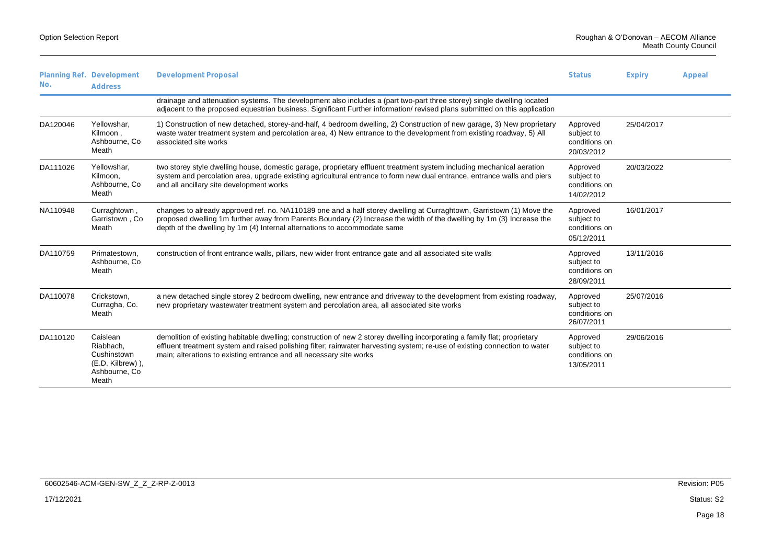| No.      | Planning Ref. Development<br><b>Address</b>                                         | <b>Development Proposal</b>                                                                                                                                                                                                                                                                                                    | <b>Status</b>                                         | <b>Expiry</b> | Appeal |
|----------|-------------------------------------------------------------------------------------|--------------------------------------------------------------------------------------------------------------------------------------------------------------------------------------------------------------------------------------------------------------------------------------------------------------------------------|-------------------------------------------------------|---------------|--------|
|          |                                                                                     | drainage and attenuation systems. The development also includes a (part two-part three storey) single dwelling located<br>adjacent to the proposed equestrian business. Significant Further information/ revised plans submitted on this application                                                                           |                                                       |               |        |
| DA120046 | Yellowshar.<br>Kilmoon,<br>Ashbourne, Co.<br>Meath                                  | 1) Construction of new detached, storey-and-half, 4 bedroom dwelling, 2) Construction of new garage, 3) New proprietary<br>waste water treatment system and percolation area, 4) New entrance to the development from existing roadway, 5) All<br>associated site works                                                        | Approved<br>subject to<br>conditions on<br>20/03/2012 | 25/04/2017    |        |
| DA111026 | Yellowshar,<br>Kilmoon,<br>Ashbourne, Co.<br>Meath                                  | two storey style dwelling house, domestic garage, proprietary effluent treatment system including mechanical aeration<br>system and percolation area, upgrade existing agricultural entrance to form new dual entrance, entrance walls and piers<br>and all ancillary site development works                                   | Approved<br>subject to<br>conditions on<br>14/02/2012 | 20/03/2022    |        |
| NA110948 | Curraghtown,<br>Garristown, Co.<br>Meath                                            | changes to already approved ref. no. NA110189 one and a half storey dwelling at Curraghtown, Garristown (1) Move the<br>proposed dwelling 1m further away from Parents Boundary (2) Increase the width of the dwelling by 1m (3) Increase the<br>depth of the dwelling by 1m (4) Internal alternations to accommodate same     | Approved<br>subject to<br>conditions on<br>05/12/2011 | 16/01/2017    |        |
| DA110759 | Primatestown,<br>Ashbourne, Co.<br>Meath                                            | construction of front entrance walls, pillars, new wider front entrance gate and all associated site walls                                                                                                                                                                                                                     | Approved<br>subject to<br>conditions on<br>28/09/2011 | 13/11/2016    |        |
| DA110078 | Crickstown,<br>Curragha, Co.<br>Meath                                               | a new detached single storey 2 bedroom dwelling, new entrance and driveway to the development from existing roadway,<br>new proprietary wastewater treatment system and percolation area, all associated site works                                                                                                            | Approved<br>subject to<br>conditions on<br>26/07/2011 | 25/07/2016    |        |
| DA110120 | Caislean<br>Riabhach.<br>Cushinstown<br>(E.D. Kilbrew)),<br>Ashbourne, Co.<br>Meath | demolition of existing habitable dwelling; construction of new 2 storey dwelling incorporating a family flat; proprietary<br>effluent treatment system and raised polishing filter; rainwater harvesting system; re-use of existing connection to water<br>main; alterations to existing entrance and all necessary site works | Approved<br>subject to<br>conditions on<br>13/05/2011 | 29/06/2016    |        |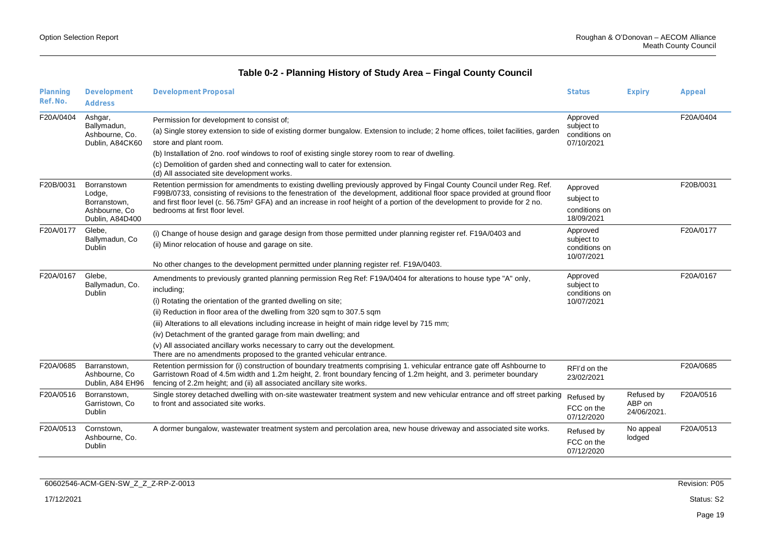| Planning<br>Ref. No. | Development                                                                | <b>Development Proposal</b>                                                                                                                                                                                                                                                                                                                                                                                                     | <b>Status</b>                                         | <b>Expiry</b>                       | Appeal    |
|----------------------|----------------------------------------------------------------------------|---------------------------------------------------------------------------------------------------------------------------------------------------------------------------------------------------------------------------------------------------------------------------------------------------------------------------------------------------------------------------------------------------------------------------------|-------------------------------------------------------|-------------------------------------|-----------|
|                      | <b>Address</b>                                                             |                                                                                                                                                                                                                                                                                                                                                                                                                                 |                                                       |                                     |           |
| F20A/0404            | Ashgar,<br>Ballymadun,<br>Ashbourne, Co.                                   | Permission for development to consist of;<br>(a) Single storey extension to side of existing dormer bungalow. Extension to include; 2 home offices, toilet facilities, garden                                                                                                                                                                                                                                                   | Approved<br>subject to<br>conditions on               |                                     | F20A/0404 |
|                      | Dublin, A84CK60                                                            | store and plant room.                                                                                                                                                                                                                                                                                                                                                                                                           | 07/10/2021                                            |                                     |           |
|                      |                                                                            | (b) Installation of 2no. roof windows to roof of existing single storey room to rear of dwelling.                                                                                                                                                                                                                                                                                                                               |                                                       |                                     |           |
|                      |                                                                            | (c) Demolition of garden shed and connecting wall to cater for extension.<br>(d) All associated site development works.                                                                                                                                                                                                                                                                                                         |                                                       |                                     |           |
| F20B/0031            | Borranstown<br>Lodge,<br>Borranstown.<br>Ashbourne, Co.<br>Dublin, A84D400 | Retention permission for amendments to existing dwelling previously approved by Fingal County Council under Reg. Ref.<br>F99B/0733, consisting of revisions to the fenestration of the development, additional floor space provided at ground floor<br>and first floor level (c. 56.75m <sup>2</sup> GFA) and an increase in roof height of a portion of the development to provide for 2 no.<br>bedrooms at first floor level. | Approved<br>subject to<br>conditions on<br>18/09/2021 |                                     | F20B/0031 |
| F20A/0177            | Glebe,<br>Ballymadun, Co<br><b>Dublin</b>                                  | (i) Change of house design and garage design from those permitted under planning register ref. F19A/0403 and<br>(ii) Minor relocation of house and garage on site.                                                                                                                                                                                                                                                              | Approved<br>subject to<br>conditions on<br>10/07/2021 |                                     | F20A/0177 |
|                      |                                                                            | No other changes to the development permitted under planning register ref. F19A/0403.                                                                                                                                                                                                                                                                                                                                           |                                                       |                                     |           |
| F20A/0167            | Glebe.<br>Ballymadun, Co.<br>Dublin                                        | Amendments to previously granted planning permission Reg Ref: F19A/0404 for alterations to house type "A" only,<br>including;                                                                                                                                                                                                                                                                                                   | Approved<br>subject to<br>conditions on               |                                     | F20A/0167 |
|                      |                                                                            | (i) Rotating the orientation of the granted dwelling on site;                                                                                                                                                                                                                                                                                                                                                                   | 10/07/2021                                            |                                     |           |
|                      |                                                                            | (ii) Reduction in floor area of the dwelling from 320 sqm to 307.5 sqm                                                                                                                                                                                                                                                                                                                                                          |                                                       |                                     |           |
|                      |                                                                            | (iii) Alterations to all elevations including increase in height of main ridge level by 715 mm;                                                                                                                                                                                                                                                                                                                                 |                                                       |                                     |           |
|                      |                                                                            | (iv) Detachment of the granted garage from main dwelling; and                                                                                                                                                                                                                                                                                                                                                                   |                                                       |                                     |           |
|                      |                                                                            | (v) All associated ancillary works necessary to carry out the development.<br>There are no amendments proposed to the granted vehicular entrance.                                                                                                                                                                                                                                                                               |                                                       |                                     |           |
| F20A/0685            | Barranstown,<br>Ashbourne, Co.<br>Dublin, A84 EH96                         | Retention permission for (i) construction of boundary treatments comprising 1. vehicular entrance gate off Ashbourne to<br>Garristown Road of 4.5m width and 1.2m height, 2. front boundary fencing of 1.2m height, and 3. perimeter boundary<br>fencing of 2.2m height; and (ii) all associated ancillary site works.                                                                                                          | RFI'd on the<br>23/02/2021                            |                                     | F20A/0685 |
| F20A/0516            | Borranstown.<br>Garristown, Co.<br>Dublin                                  | Single storey detached dwelling with on-site wastewater treatment system and new vehicular entrance and off street parking<br>to front and associated site works.                                                                                                                                                                                                                                                               | Refused by<br>FCC on the<br>07/12/2020                | Refused by<br>ABP on<br>24/06/2021. | F20A/0516 |
| F20A/0513            | Cornstown,<br>Ashbourne, Co.<br><b>Dublin</b>                              | A dormer bungalow, wastewater treatment system and percolation area, new house driveway and associated site works.                                                                                                                                                                                                                                                                                                              | Refused by<br>FCC on the<br>07/12/2020                | No appeal<br>lodged                 | F20A/0513 |

| 60602546-ACM-GEN-SW_Z_Z_Z-RP-Z-0013 | Revision: P05 |
|-------------------------------------|---------------|
| 17/12/2021                          | Status: S2    |
|                                     | Page 19       |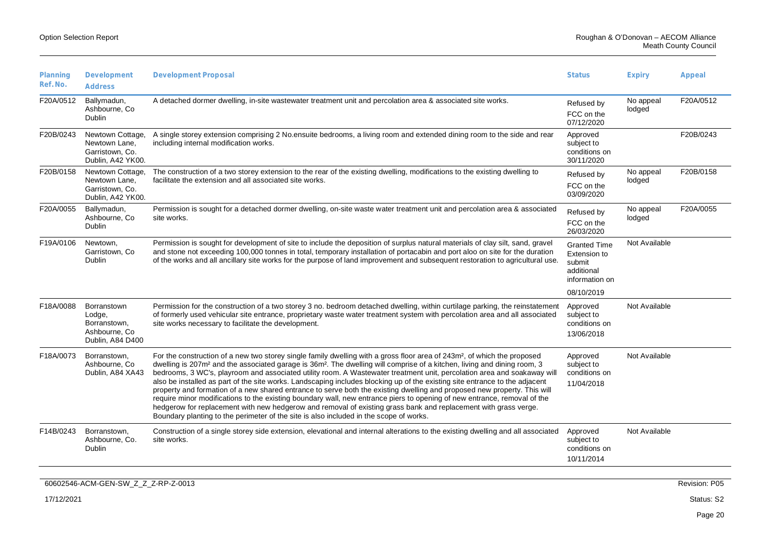|  | <b>Option Selection Report</b> |  |
|--|--------------------------------|--|
|--|--------------------------------|--|

| Planning<br>Ref. No. | Development<br><b>Address</b>                                               | <b>Development Proposal</b>                                                                                                                                                                                                                                                                                                                                                                                                                                                                                                                                                                                                                                                                                                                                                                                                                                                                                                                                                                                             | <b>Status</b>                                                                               | <b>Expiry</b>       | Appeal        |
|----------------------|-----------------------------------------------------------------------------|-------------------------------------------------------------------------------------------------------------------------------------------------------------------------------------------------------------------------------------------------------------------------------------------------------------------------------------------------------------------------------------------------------------------------------------------------------------------------------------------------------------------------------------------------------------------------------------------------------------------------------------------------------------------------------------------------------------------------------------------------------------------------------------------------------------------------------------------------------------------------------------------------------------------------------------------------------------------------------------------------------------------------|---------------------------------------------------------------------------------------------|---------------------|---------------|
| F20A/0512            | Ballymadun,<br>Ashbourne, Co.<br>Dublin                                     | A detached dormer dwelling, in-site wastewater treatment unit and percolation area & associated site works.                                                                                                                                                                                                                                                                                                                                                                                                                                                                                                                                                                                                                                                                                                                                                                                                                                                                                                             | Refused by<br>FCC on the<br>07/12/2020                                                      | No appeal<br>lodged | F20A/0512     |
| F20B/0243            | Newtown Cottage,<br>Newtown Lane,<br>Garristown, Co.<br>Dublin, A42 YK00.   | A single storey extension comprising 2 No.ensuite bedrooms, a living room and extended dining room to the side and rear<br>including internal modification works.                                                                                                                                                                                                                                                                                                                                                                                                                                                                                                                                                                                                                                                                                                                                                                                                                                                       | Approved<br>subject to<br>conditions on<br>30/11/2020                                       |                     | F20B/0243     |
| F20B/0158            | Newtown Cottage,<br>Newtown Lane,<br>Garristown, Co.<br>Dublin, A42 YK00.   | The construction of a two storey extension to the rear of the existing dwelling, modifications to the existing dwelling to<br>facilitate the extension and all associated site works.                                                                                                                                                                                                                                                                                                                                                                                                                                                                                                                                                                                                                                                                                                                                                                                                                                   | Refused by<br>FCC on the<br>03/09/2020                                                      | No appeal<br>lodged | F20B/0158     |
| F20A/0055            | Ballymadun,<br>Ashbourne, Co.<br><b>Dublin</b>                              | Permission is sought for a detached dormer dwelling, on-site waste water treatment unit and percolation area & associated<br>site works.                                                                                                                                                                                                                                                                                                                                                                                                                                                                                                                                                                                                                                                                                                                                                                                                                                                                                | Refused by<br>FCC on the<br>26/03/2020                                                      | No appeal<br>lodged | F20A/0055     |
| F19A/0106            | Newtown,<br>Garristown, Co<br>Dublin                                        | Permission is sought for development of site to include the deposition of surplus natural materials of clay silt, sand, gravel<br>and stone not exceeding 100,000 tonnes in total, temporary installation of portacabin and port aloo on site for the duration<br>of the works and all ancillary site works for the purpose of land improvement and subsequent restoration to agricultural use.                                                                                                                                                                                                                                                                                                                                                                                                                                                                                                                                                                                                                         | <b>Granted Time</b><br>Extension to<br>submit<br>additional<br>information on<br>08/10/2019 | Not Available       |               |
| F18A/0088            | Borranstown<br>Lodge,<br>Borranstown,<br>Ashbourne, Co.<br>Dublin, A84 D400 | Permission for the construction of a two storey 3 no. bedroom detached dwelling, within curtilage parking, the reinstatement<br>of formerly used vehicular site entrance, proprietary waste water treatment system with percolation area and all associated<br>site works necessary to facilitate the development.                                                                                                                                                                                                                                                                                                                                                                                                                                                                                                                                                                                                                                                                                                      | Approved<br>subject to<br>conditions on<br>13/06/2018                                       | Not Available       |               |
| F18A/0073            | Borranstown.<br>Ashbourne, Co.<br>Dublin, A84 XA43                          | For the construction of a new two storey single family dwelling with a gross floor area of 243m <sup>2</sup> , of which the proposed<br>dwelling is 207m <sup>2</sup> and the associated garage is 36m <sup>2</sup> . The dwelling will comprise of a kitchen, living and dining room, 3<br>bedrooms, 3 WC's, playroom and associated utility room. A Wastewater treatment unit, percolation area and soakaway will<br>also be installed as part of the site works. Landscaping includes blocking up of the existing site entrance to the adjacent<br>property and formation of a new shared entrance to serve both the existing dwelling and proposed new property. This will<br>require minor modifications to the existing boundary wall, new entrance piers to opening of new entrance, removal of the<br>hedgerow for replacement with new hedgerow and removal of existing grass bank and replacement with grass verge.<br>Boundary planting to the perimeter of the site is also included in the scope of works. | Approved<br>subject to<br>conditions on<br>11/04/2018                                       | Not Available       |               |
| F14B/0243            | Borranstown,<br>Ashbourne, Co.<br>Dublin                                    | Construction of a single storey side extension, elevational and internal alterations to the existing dwelling and all associated<br>site works.                                                                                                                                                                                                                                                                                                                                                                                                                                                                                                                                                                                                                                                                                                                                                                                                                                                                         | Approved<br>subject to<br>conditions on<br>10/11/2014                                       | Not Available       |               |
|                      | 60602546-ACM-GEN-SW Z Z Z-RP-Z-0013                                         |                                                                                                                                                                                                                                                                                                                                                                                                                                                                                                                                                                                                                                                                                                                                                                                                                                                                                                                                                                                                                         |                                                                                             |                     | Revision: P05 |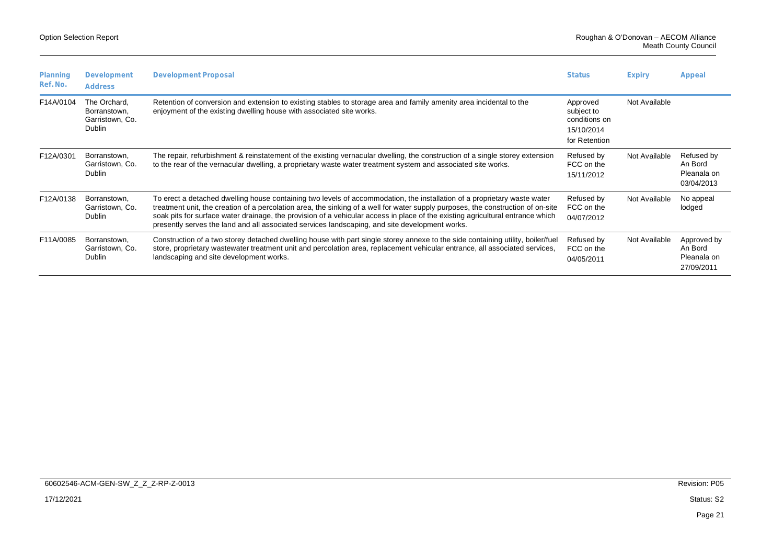| Planning<br>Ref. No. | Development<br>Address                                    | <b>Development Proposal</b>                                                                                                                                                                                                                                                                                                                                                                                                                                                                      | <b>Status</b>                                                          | <b>Expiry</b> | Appeal                                              |
|----------------------|-----------------------------------------------------------|--------------------------------------------------------------------------------------------------------------------------------------------------------------------------------------------------------------------------------------------------------------------------------------------------------------------------------------------------------------------------------------------------------------------------------------------------------------------------------------------------|------------------------------------------------------------------------|---------------|-----------------------------------------------------|
| F14A/0104            | The Orchard.<br>Borranstown.<br>Garristown, Co.<br>Dublin | Retention of conversion and extension to existing stables to storage area and family amenity area incidental to the<br>enjoyment of the existing dwelling house with associated site works.                                                                                                                                                                                                                                                                                                      | Approved<br>subject to<br>conditions on<br>15/10/2014<br>for Retention | Not Available |                                                     |
| F12A/0301            | Borranstown.<br>Garristown, Co.<br>Dublin                 | The repair, refurbishment & reinstatement of the existing vernacular dwelling, the construction of a single storey extension<br>to the rear of the vernacular dwelling, a proprietary waste water treatment system and associated site works.                                                                                                                                                                                                                                                    | Refused by<br>FCC on the<br>15/11/2012                                 | Not Available | Refused by<br>An Bord<br>Pleanala on<br>03/04/2013  |
| F12A/0138            | Borranstown,<br>Garristown, Co.<br>Dublin                 | To erect a detached dwelling house containing two levels of accommodation, the installation of a proprietary waste water<br>treatment unit, the creation of a percolation area, the sinking of a well for water supply purposes, the construction of on-site<br>soak pits for surface water drainage, the provision of a vehicular access in place of the existing agricultural entrance which<br>presently serves the land and all associated services landscaping, and site development works. | Refused by<br>FCC on the<br>04/07/2012                                 | Not Available | No appeal<br>lodged                                 |
| F11A/0085            | Borranstown.<br>Garristown, Co.<br><b>Dublin</b>          | Construction of a two storey detached dwelling house with part single storey annexe to the side containing utility, boiler/fuel<br>store, proprietary wastewater treatment unit and percolation area, replacement vehicular entrance, all associated services,<br>landscaping and site development works.                                                                                                                                                                                        | Refused by<br>FCC on the<br>04/05/2011                                 | Not Available | Approved by<br>An Bord<br>Pleanala on<br>27/09/2011 |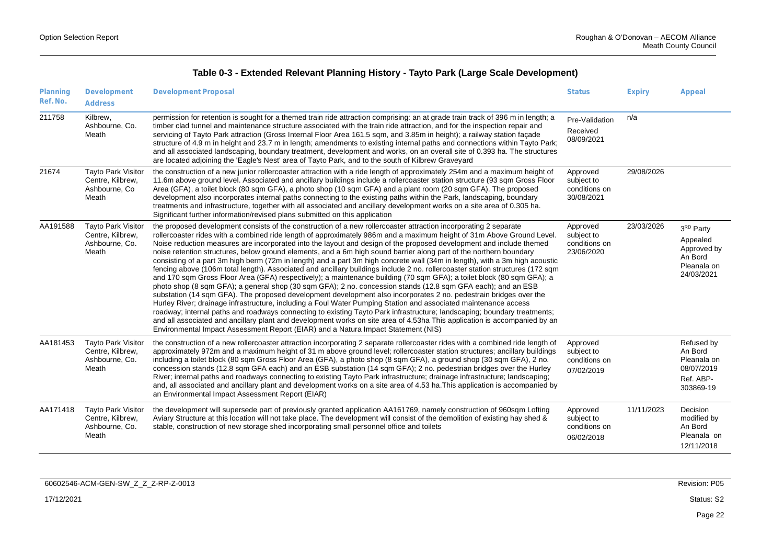| Table 0-3 - Extended Relevant Planning History - Tayto Park (Large Scale Development) |  |  |  |
|---------------------------------------------------------------------------------------|--|--|--|
|---------------------------------------------------------------------------------------|--|--|--|

| Planning<br>Ref. No. | Development<br><b>Address</b>                                            | <b>Development Proposal</b>                                                                                                                                                                                                                                                                                                                                                                                                                                                                                                                                                                                                                                                                                                                                                                                                                                                                                                                                                                                                                                                                                                                                                                                                                                                                                                                                                                                                                                                                                                                                                           | <b>Status</b>                                         | <b>Expiry</b> | Appeal                                                                                   |
|----------------------|--------------------------------------------------------------------------|---------------------------------------------------------------------------------------------------------------------------------------------------------------------------------------------------------------------------------------------------------------------------------------------------------------------------------------------------------------------------------------------------------------------------------------------------------------------------------------------------------------------------------------------------------------------------------------------------------------------------------------------------------------------------------------------------------------------------------------------------------------------------------------------------------------------------------------------------------------------------------------------------------------------------------------------------------------------------------------------------------------------------------------------------------------------------------------------------------------------------------------------------------------------------------------------------------------------------------------------------------------------------------------------------------------------------------------------------------------------------------------------------------------------------------------------------------------------------------------------------------------------------------------------------------------------------------------|-------------------------------------------------------|---------------|------------------------------------------------------------------------------------------|
| 211758               | Kilbrew,<br>Ashbourne, Co.<br>Meath                                      | permission for retention is sought for a themed train ride attraction comprising: an at grade train track of 396 m in length; a<br>timber clad tunnel and maintenance structure associated with the train ride attraction, and for the inspection repair and<br>servicing of Tayto Park attraction (Gross Internal Floor Area 161.5 sqm, and 3.85m in height); a railway station facade<br>structure of 4.9 m in height and 23.7 m in length; amendments to existing internal paths and connections within Tayto Park;<br>and all associated landscaping, boundary treatment, development and works, on an overall site of 0.393 ha. The structures<br>are located adjoining the 'Eagle's Nest' area of Tayto Park, and to the south of Kilbrew Graveyard                                                                                                                                                                                                                                                                                                                                                                                                                                                                                                                                                                                                                                                                                                                                                                                                                             | Pre-Validation<br>Received<br>08/09/2021              | n/a           |                                                                                          |
| 21674                | <b>Tayto Park Visitor</b><br>Centre, Kilbrew,<br>Ashbourne, Co.<br>Meath | the construction of a new junior rollercoaster attraction with a ride length of approximately 254m and a maximum height of<br>11.6m above ground level. Associated and ancillary buildings include a rollercoaster station structure (93 sqm Gross Floor<br>Area (GFA), a toilet block (80 sqm GFA), a photo shop (10 sqm GFA) and a plant room (20 sqm GFA). The proposed<br>development also incorporates internal paths connecting to the existing paths within the Park, landscaping, boundary<br>treatments and infrastructure, together with all associated and ancillary development works on a site area of 0.305 ha.<br>Significant further information/revised plans submitted on this application                                                                                                                                                                                                                                                                                                                                                                                                                                                                                                                                                                                                                                                                                                                                                                                                                                                                          | Approved<br>subject to<br>conditions on<br>30/08/2021 | 29/08/2026    |                                                                                          |
| AA191588             | <b>Tayto Park Visitor</b><br>Centre, Kilbrew,<br>Ashbourne, Co.<br>Meath | the proposed development consists of the construction of a new rollercoaster attraction incorporating 2 separate<br>rollercoaster rides with a combined ride length of approximately 986m and a maximum height of 31m Above Ground Level.<br>Noise reduction measures are incorporated into the layout and design of the proposed development and include themed<br>noise retention structures, below ground elements, and a 6m high sound barrier along part of the northern boundary<br>consisting of a part 3m high berm (72m in length) and a part 3m high concrete wall (34m in length), with a 3m high acoustic<br>fencing above (106m total length). Associated and ancillary buildings include 2 no. rollercoaster station structures (172 sqm<br>and 170 sqm Gross Floor Area (GFA) respectively); a maintenance building (70 sqm GFA); a toilet block (80 sqm GFA); a<br>photo shop (8 sqm GFA); a general shop (30 sqm GFA); 2 no. concession stands (12.8 sqm GFA each); and an ESB<br>substation (14 sqm GFA). The proposed development development also incorporates 2 no. pedestrain bridges over the<br>Hurley River; drainage infrastructure, including a Foul Water Pumping Station and associated maintenance access<br>roadway; internal paths and roadways connecting to existing Tayto Park infrastructure; landscaping; boundary treatments;<br>and all associated and ancillary plant and development works on site area of 4.53ha This application is accompanied by an<br>Environmental Impact Assessment Report (EIAR) and a Natura Impact Statement (NIS) | Approved<br>subject to<br>conditions on<br>23/06/2020 | 23/03/2026    | 3 <sup>RD</sup> Party<br>Appealed<br>Approved by<br>An Bord<br>Pleanala on<br>24/03/2021 |
| AA181453             | <b>Tayto Park Visitor</b><br>Centre, Kilbrew,<br>Ashbourne, Co.<br>Meath | the construction of a new rollercoaster attraction incorporating 2 separate rollercoaster rides with a combined ride length of<br>approximately 972m and a maximum height of 31 m above ground level; rollercoaster station structures; ancillary buildings<br>including a toilet block (80 sqm Gross Floor Area (GFA), a photo shop (8 sqm GFA), a ground shop (30 sqm GFA), 2 no.<br>concession stands (12.8 sqm GFA each) and an ESB substation (14 sqm GFA); 2 no. pedestrian bridges over the Hurley<br>River; internal paths and roadways connecting to existing Tayto Park infrastructure; drainage infrastructure; landscaping;<br>and, all associated and ancillary plant and development works on a site area of 4.53 ha. This application is accompanied by<br>an Environmental Impact Assessment Report (EIAR)                                                                                                                                                                                                                                                                                                                                                                                                                                                                                                                                                                                                                                                                                                                                                            | Approved<br>subject to<br>conditions on<br>07/02/2019 |               | Refused by<br>An Bord<br>Pleanala on<br>08/07/2019<br>Ref. ABP-<br>303869-19             |
| AA171418             | <b>Tayto Park Visitor</b><br>Centre, Kilbrew,<br>Ashbourne, Co.<br>Meath | the development will supersede part of previously granted application AA161769, namely construction of 960sqm Lofting<br>Aviary Structure at this location will not take place. The development will consist of the demolition of existing hay shed &<br>stable, construction of new storage shed incorporating small personnel office and toilets                                                                                                                                                                                                                                                                                                                                                                                                                                                                                                                                                                                                                                                                                                                                                                                                                                                                                                                                                                                                                                                                                                                                                                                                                                    | Approved<br>subject to<br>conditions on<br>06/02/2018 | 11/11/2023    | Decision<br>modified by<br>An Bord<br>Pleanala on<br>12/11/2018                          |

| 60602546-ACM-GEN-SW_Z_Z_Z-RP-Z-0013 | Revision: P05 |
|-------------------------------------|---------------|
| 17/12/2021                          | Status: S2    |
|                                     | Page 22       |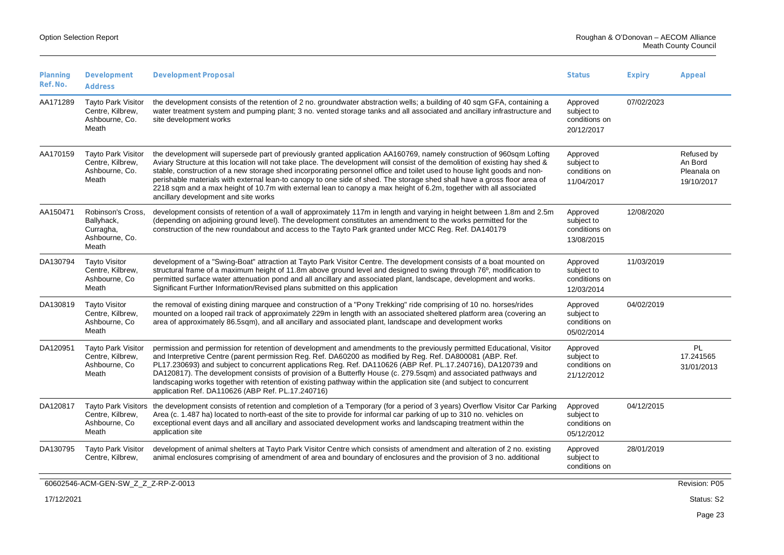| Planning<br>Ref. No. | Development<br><b>Address</b>                                            | <b>Development Proposal</b>                                                                                                                                                                                                                                                                                                                                                                                                                                                                                                                                                                                                                                                | <b>Status</b>                                         | <b>Expiry</b> | Appeal                                             |
|----------------------|--------------------------------------------------------------------------|----------------------------------------------------------------------------------------------------------------------------------------------------------------------------------------------------------------------------------------------------------------------------------------------------------------------------------------------------------------------------------------------------------------------------------------------------------------------------------------------------------------------------------------------------------------------------------------------------------------------------------------------------------------------------|-------------------------------------------------------|---------------|----------------------------------------------------|
| AA171289             | <b>Tayto Park Visitor</b><br>Centre, Kilbrew,<br>Ashbourne, Co.<br>Meath | the development consists of the retention of 2 no. groundwater abstraction wells; a building of 40 sqm GFA, containing a<br>water treatment system and pumping plant; 3 no. vented storage tanks and all associated and ancillary infrastructure and<br>site development works                                                                                                                                                                                                                                                                                                                                                                                             | Approved<br>subject to<br>conditions on<br>20/12/2017 | 07/02/2023    |                                                    |
| AA170159             | <b>Tayto Park Visitor</b><br>Centre, Kilbrew,<br>Ashbourne, Co.<br>Meath | the development will supersede part of previously granted application AA160769, namely construction of 960sqm Lofting<br>Aviary Structure at this location will not take place. The development will consist of the demolition of existing hay shed &<br>stable, construction of a new storage shed incorporating personnel office and toilet used to house light goods and non-<br>perishable materials with external lean-to canopy to one side of shed. The storage shed shall have a gross floor area of<br>2218 sqm and a max height of 10.7m with external lean to canopy a max height of 6.2m, together with all associated<br>ancillary development and site works | Approved<br>subject to<br>conditions on<br>11/04/2017 |               | Refused by<br>An Bord<br>Pleanala on<br>19/10/2017 |
| AA150471             | Robinson's Cross,<br>Ballyhack,<br>Curragha,<br>Ashbourne, Co.<br>Meath  | development consists of retention of a wall of approximately 117m in length and varying in height between 1.8m and 2.5m<br>(depending on adjoining ground level). The development constitutes an amendment to the works permitted for the<br>construction of the new roundabout and access to the Tayto Park granted under MCC Reg. Ref. DA140179                                                                                                                                                                                                                                                                                                                          | Approved<br>subject to<br>conditions on<br>13/08/2015 | 12/08/2020    |                                                    |
| DA130794             | <b>Tayto Visitor</b><br>Centre, Kilbrew,<br>Ashbourne, Co<br>Meath       | development of a "Swing-Boat" attraction at Tayto Park Visitor Centre. The development consists of a boat mounted on<br>structural frame of a maximum height of 11.8m above ground level and designed to swing through 76°, modification to<br>permitted surface water attenuation pond and all ancillary and associated plant, landscape, development and works.<br>Significant Further Information/Revised plans submitted on this application                                                                                                                                                                                                                           | Approved<br>subject to<br>conditions on<br>12/03/2014 | 11/03/2019    |                                                    |
| DA130819             | <b>Tayto Visitor</b><br>Centre, Kilbrew,<br>Ashbourne, Co.<br>Meath      | the removal of existing dining marquee and construction of a "Pony Trekking" ride comprising of 10 no. horses/rides<br>mounted on a looped rail track of approximately 229m in length with an associated sheltered platform area (covering an<br>area of approximately 86.5sqm), and all ancillary and associated plant, landscape and development works                                                                                                                                                                                                                                                                                                                   | Approved<br>subject to<br>conditions on<br>05/02/2014 | 04/02/2019    |                                                    |
| DA120951             | <b>Tayto Park Visitor</b><br>Centre, Kilbrew,<br>Ashbourne, Co.<br>Meath | permission and permission for retention of development and amendments to the previously permitted Educational, Visitor<br>and Interpretive Centre (parent permission Reg. Ref. DA60200 as modified by Reg. Ref. DA800081 (ABP. Ref.<br>PL17.230693) and subject to concurrent applications Reg. Ref. DA110626 (ABP Ref. PL.17.240716), DA120739 and<br>DA120817). The development consists of provision of a Butterfly House (c. 279.5sqm) and associated pathways and<br>landscaping works together with retention of existing pathway within the application site (and subject to concurrent<br>application Ref. DA110626 (ABP Ref. PL.17.240716)                        | Approved<br>subject to<br>conditions on<br>21/12/2012 |               | PL<br>17.241565<br>31/01/2013                      |
| DA120817             | <b>Tayto Park Visitors</b><br>Centre, Kilbrew,<br>Ashbourne, Co<br>Meath | the development consists of retention and completion of a Temporary (for a period of 3 years) Overflow Visitor Car Parking<br>Area (c. 1.487 ha) located to north-east of the site to provide for informal car parking of up to 310 no. vehicles on<br>exceptional event days and all ancillary and associated development works and landscaping treatment within the<br>application site                                                                                                                                                                                                                                                                                  | Approved<br>subject to<br>conditions on<br>05/12/2012 | 04/12/2015    |                                                    |
| DA130795             | Tayto Park Visitor<br>Centre, Kilbrew,                                   | development of animal shelters at Tayto Park Visitor Centre which consists of amendment and alteration of 2 no. existing<br>animal enclosures comprising of amendment of area and boundary of enclosures and the provision of 3 no. additional                                                                                                                                                                                                                                                                                                                                                                                                                             | Approved<br>subject to<br>conditions on               | 28/01/2019    |                                                    |
|                      | 60602546-ACM-GEN-SW Z Z Z-RP-Z-0013                                      |                                                                                                                                                                                                                                                                                                                                                                                                                                                                                                                                                                                                                                                                            |                                                       |               | Revision: P05                                      |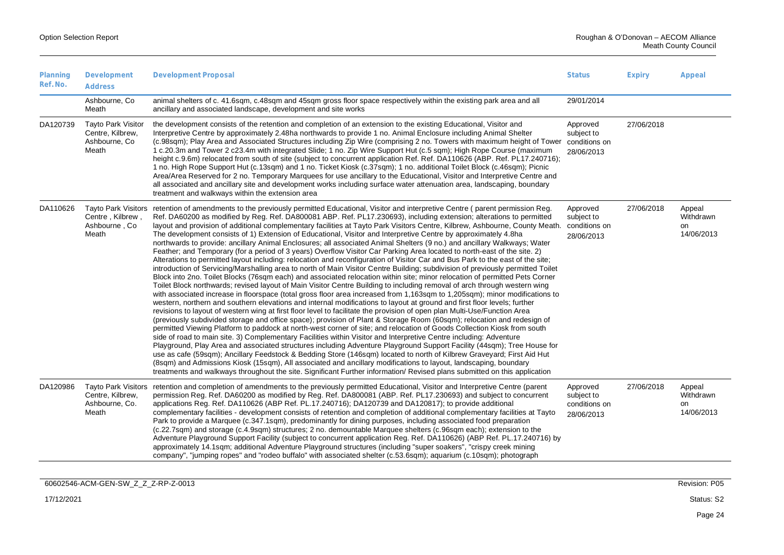| Planning<br>Ref. No. | Development<br><b>Address</b>                                             | <b>Development Proposal</b>                                                                                                                                                                                                                                                                                                                                                                                                                                                                                                                                                                                                                                                                                                                                                                                                                                                                                                                                                                                                                                                                                                                                                                                                                                                                                                                                                                                                                                                                                                                                                                                                                                                                                                                                                                                                                                                                                                                                                                                                                                                                                                                                                                                                                                                                                                                                                                                                                                                                                                                                                          |                                                       | <b>Expiry</b> | Appeal                                  |
|----------------------|---------------------------------------------------------------------------|--------------------------------------------------------------------------------------------------------------------------------------------------------------------------------------------------------------------------------------------------------------------------------------------------------------------------------------------------------------------------------------------------------------------------------------------------------------------------------------------------------------------------------------------------------------------------------------------------------------------------------------------------------------------------------------------------------------------------------------------------------------------------------------------------------------------------------------------------------------------------------------------------------------------------------------------------------------------------------------------------------------------------------------------------------------------------------------------------------------------------------------------------------------------------------------------------------------------------------------------------------------------------------------------------------------------------------------------------------------------------------------------------------------------------------------------------------------------------------------------------------------------------------------------------------------------------------------------------------------------------------------------------------------------------------------------------------------------------------------------------------------------------------------------------------------------------------------------------------------------------------------------------------------------------------------------------------------------------------------------------------------------------------------------------------------------------------------------------------------------------------------------------------------------------------------------------------------------------------------------------------------------------------------------------------------------------------------------------------------------------------------------------------------------------------------------------------------------------------------------------------------------------------------------------------------------------------------|-------------------------------------------------------|---------------|-----------------------------------------|
|                      | Ashbourne, Co.<br>Meath                                                   | animal shelters of c. 41.6sqm, c.48sqm and 45sqm gross floor space respectively within the existing park area and all<br>ancillary and associated landscape, development and site works                                                                                                                                                                                                                                                                                                                                                                                                                                                                                                                                                                                                                                                                                                                                                                                                                                                                                                                                                                                                                                                                                                                                                                                                                                                                                                                                                                                                                                                                                                                                                                                                                                                                                                                                                                                                                                                                                                                                                                                                                                                                                                                                                                                                                                                                                                                                                                                              | 29/01/2014                                            |               |                                         |
| DA120739             | <b>Tayto Park Visitor</b><br>Centre, Kilbrew,<br>Ashbourne, Co.<br>Meath  | the development consists of the retention and completion of an extension to the existing Educational, Visitor and<br>Interpretive Centre by approximately 2.48ha northwards to provide 1 no. Animal Enclosure including Animal Shelter<br>(c.98sqm); Play Area and Associated Structures including Zip Wire (comprising 2 no. Towers with maximum height of Tower conditions on<br>1 c.20.3m and Tower 2 c23.4m with integrated Slide; 1 no. Zip Wire Support Hut (c.5 sqm); High Rope Course (maximum<br>height c.9.6m) relocated from south of site (subject to concurrent application Ref. Ref. DA110626 (ABP. Ref. PL17.240716);<br>1 no. High Rope Support Hut (c.13sqm) and 1 no. Ticket Kiosk (c.37sqm); 1 no. additional Toilet Block (c.46sqm); Picnic<br>Area/Area Reserved for 2 no. Temporary Marquees for use ancillary to the Educational, Visitor and Interpretive Centre and<br>all associated and ancillary site and development works including surface water attenuation area, landscaping, boundary<br>treatment and walkways within the extension area                                                                                                                                                                                                                                                                                                                                                                                                                                                                                                                                                                                                                                                                                                                                                                                                                                                                                                                                                                                                                                                                                                                                                                                                                                                                                                                                                                                                                                                                                                          | Approved<br>subject to<br>28/06/2013                  | 27/06/2018    |                                         |
| DA110626             | <b>Tayto Park Visitors</b><br>Centre, Kilbrew,<br>Ashbourne, Co.<br>Meath | retention of amendments to the previously permitted Educational, Visitor and interpretive Centre (parent permission Reg.<br>Ref. DA60200 as modified by Reg. Ref. DA800081 ABP. Ref. PL17.230693), including extension; alterations to permitted<br>layout and provision of additional complementary facilities at Tayto Park Visitors Centre, Kilbrew, Ashbourne, County Meath. conditions on<br>The development consists of 1) Extension of Educational, Visitor and Interpretive Centre by approximately 4.8ha<br>northwards to provide: ancillary Animal Enclosures; all associated Animal Shelters (9 no.) and ancillary Walkways; Water<br>Feather; and Temporary (for a period of 3 years) Overflow Visitor Car Parking Area located to north-east of the site. 2)<br>Alterations to permitted layout including: relocation and reconfiguration of Visitor Car and Bus Park to the east of the site;<br>introduction of Servicing/Marshalling area to north of Main Visitor Centre Building; subdivision of previously permitted Toilet<br>Block into 2no. Toilet Blocks (76sqm each) and associated relocation within site; minor relocation of permitted Pets Corner<br>Toilet Block northwards; revised layout of Main Visitor Centre Building to including removal of arch through western wing<br>with associated increase in floorspace (total gross floor area increased from 1,163sgm to 1,205sgm); minor modifications to<br>western, northern and southern elevations and internal modifications to layout at ground and first floor levels; further<br>revisions to layout of western wing at first floor level to facilitate the provision of open plan Multi-Use/Function Area<br>(previously subdivided storage and office space); provision of Plant & Storage Room (60sqm); relocation and redesign of<br>permitted Viewing Platform to paddock at north-west corner of site; and relocation of Goods Collection Kiosk from south<br>side of road to main site. 3) Complementary Facilities within Visitor and Interpretive Centre including: Adventure<br>Playground, Play Area and associated structures including Adventure Playground Support Facility (44sqm); Tree House for<br>use as cafe (59sqm); Ancillary Feedstock & Bedding Store (146sqm) located to north of Kilbrew Graveyard; First Aid Hut<br>(8sqm) and Admissions Kiosk (15sqm), All associated and ancillary modifications to layout, landscaping, boundary<br>treatments and walkways throughout the site. Significant Further information/ Revised plans submitted on this application | Approved<br>subject to<br>28/06/2013                  | 27/06/2018    | Appeal<br>Withdrawn<br>on<br>14/06/2013 |
| DA120986             | <b>Tayto Park Visitors</b><br>Centre, Kilbrew,<br>Ashbourne, Co.<br>Meath | retention and completion of amendments to the previously permitted Educational, Visitor and Interpretive Centre (parent<br>permission Reg. Ref. DA60200 as modified by Reg. Ref. DA800081 (ABP. Ref. PL17.230693) and subject to concurrent<br>applications Reg. Ref. DA110626 (ABP Ref. PL.17.240716); DA120739 and DA120817); to provide additional<br>complementary facilities - development consists of retention and completion of additional complementary facilities at Tayto<br>Park to provide a Marquee (c.347.1sqm), predominantly for dining purposes, including associated food preparation<br>(c.22.7sqm) and storage (c.4.9sqm) structures; 2 no. demountable Marquee shelters (c.96sqm each); extension to the<br>Adventure Playground Support Facility (subject to concurrent application Reg. Ref. DA110626) (ABP Ref. PL.17.240716) by<br>approximately 14.1sqm; additional Adventure Playground structures (including "super soakers", "crispy creek mining<br>company", "jumping ropes" and "rodeo buffalo" with associated shelter (c.53.6sqm); aquarium (c.10sqm); photograph                                                                                                                                                                                                                                                                                                                                                                                                                                                                                                                                                                                                                                                                                                                                                                                                                                                                                                                                                                                                                                                                                                                                                                                                                                                                                                                                                                                                                                                                                 | Approved<br>subject to<br>conditions on<br>28/06/2013 | 27/06/2018    | Appeal<br>Withdrawn<br>on<br>14/06/2013 |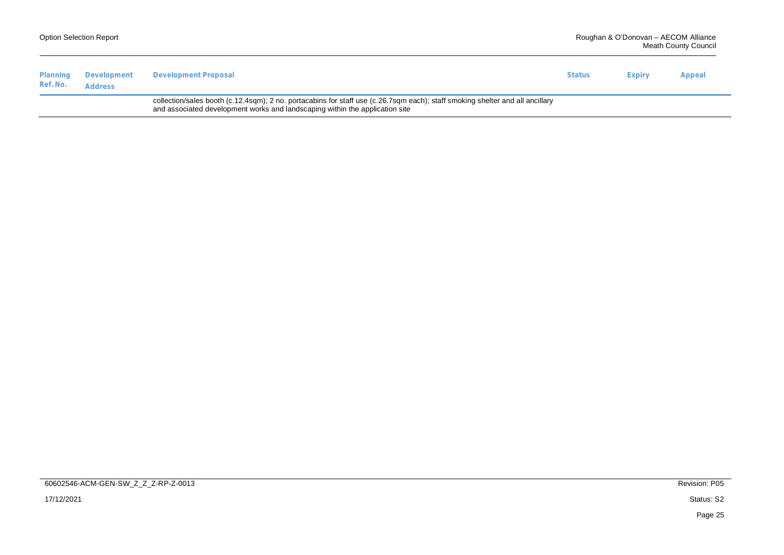|                      | <b>Option Selection Report</b> |                                                                                                                                                                                                               |               | Roughan & O'Donovan - AECOM Alliance<br><b>Meath County Council</b> |        |  |
|----------------------|--------------------------------|---------------------------------------------------------------------------------------------------------------------------------------------------------------------------------------------------------------|---------------|---------------------------------------------------------------------|--------|--|
| Planning<br>Ref. No. | Development<br><b>Address</b>  | Development Proposal                                                                                                                                                                                          | <b>Status</b> | Expiry                                                              | Appeal |  |
|                      |                                | collection/sales booth (c.12.4sqm); 2 no. portacabins for staff use (c.26.7sqm each); staff smoking shelter and all ancillary<br>and associated development works and landscaping within the application site |               |                                                                     |        |  |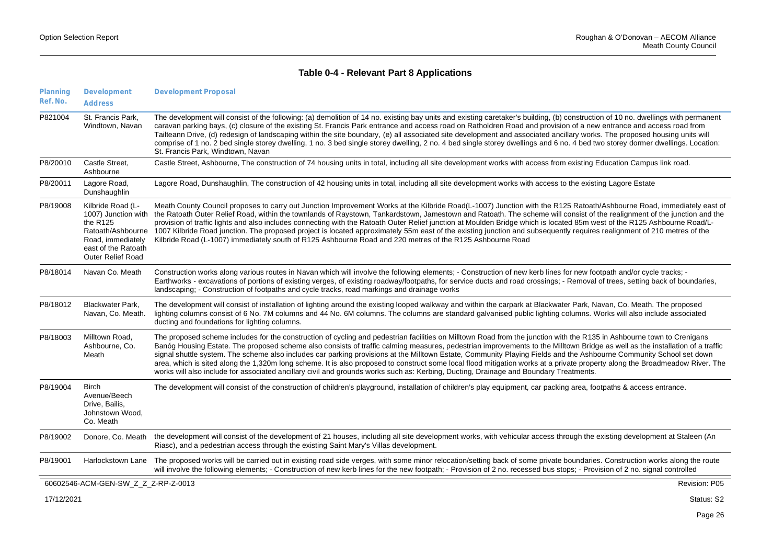### **Table 0-4 - Relevant Part 8 Applications**

| Planning<br>Ref. No. | Development<br><b>Address</b>                                                                                                                       | <b>Development Proposal</b>                                                                                                                                                                                                                                                                                                                                                                                                                                                                                                                                                                                                                                                                                                                                                                                                                            |
|----------------------|-----------------------------------------------------------------------------------------------------------------------------------------------------|--------------------------------------------------------------------------------------------------------------------------------------------------------------------------------------------------------------------------------------------------------------------------------------------------------------------------------------------------------------------------------------------------------------------------------------------------------------------------------------------------------------------------------------------------------------------------------------------------------------------------------------------------------------------------------------------------------------------------------------------------------------------------------------------------------------------------------------------------------|
| P821004              | St. Francis Park,<br>Windtown, Navan                                                                                                                | The development will consist of the following: (a) demolition of 14 no. existing bay units and existing caretaker's building, (b) construction of 10 no. dwellings with permanent<br>caravan parking bays, (c) closure of the existing St. Francis Park entrance and access road on Ratholdren Road and provision of a new entrance and access road from<br>Tailteann Drive, (d) redesign of landscaping within the site boundary, (e) all associated site development and associated ancillary works. The proposed housing units will<br>comprise of 1 no. 2 bed single storey dwelling, 1 no. 3 bed single storey dwelling, 2 no. 4 bed single storey dwellings and 6 no. 4 bed two storey dormer dwellings. Location:<br>St. Francis Park, Windtown, Navan                                                                                          |
| P8/20010             | Castle Street.<br>Ashbourne                                                                                                                         | Castle Street, Ashbourne, The construction of 74 housing units in total, including all site development works with access from existing Education Campus link road.                                                                                                                                                                                                                                                                                                                                                                                                                                                                                                                                                                                                                                                                                    |
| P8/20011             | Lagore Road,<br>Dunshaughlin                                                                                                                        | Lagore Road, Dunshaughlin, The construction of 42 housing units in total, including all site development works with access to the existing Lagore Estate                                                                                                                                                                                                                                                                                                                                                                                                                                                                                                                                                                                                                                                                                               |
| P8/19008             | Kilbride Road (L-<br>1007) Junction with<br>the $R125$<br>Ratoath/Ashbourne<br>Road, immediately<br>east of the Ratoath<br><b>Outer Relief Road</b> | Meath County Council proposes to carry out Junction Improvement Works at the Kilbride Road(L-1007) Junction with the R125 Ratoath/Ashbourne Road, immediately east of<br>the Ratoath Outer Relief Road, within the townlands of Raystown, Tankardstown, Jamestown and Ratoath. The scheme will consist of the realignment of the junction and the<br>provision of traffic lights and also includes connecting with the Ratoath Outer Relief junction at Moulden Bridge which is located 85m west of the R125 Ashbourne Road/L-<br>1007 Kilbride Road junction. The proposed project is located approximately 55m east of the existing junction and subsequently requires realignment of 210 metres of the<br>Kilbride Road (L-1007) immediately south of R125 Ashbourne Road and 220 metres of the R125 Ashbourne Road                                 |
| P8/18014             | Navan Co. Meath                                                                                                                                     | Construction works along various routes in Navan which will involve the following elements; - Construction of new kerb lines for new footpath and/or cycle tracks; -<br>Earthworks - excavations of portions of existing verges, of existing roadway/footpaths, for service ducts and road crossings; - Removal of trees, setting back of boundaries,<br>landscaping: - Construction of footpaths and cycle tracks, road markings and drainage works                                                                                                                                                                                                                                                                                                                                                                                                   |
| P8/18012             | <b>Blackwater Park,</b><br>Navan, Co. Meath.                                                                                                        | The development will consist of installation of lighting around the existing looped walkway and within the carpark at Blackwater Park, Navan, Co. Meath. The proposed<br>lighting columns consist of 6 No. 7M columns and 44 No. 6M columns. The columns are standard galvanised public lighting columns. Works will also include associated<br>ducting and foundations for lighting columns.                                                                                                                                                                                                                                                                                                                                                                                                                                                          |
| P8/18003             | Milltown Road,<br>Ashbourne, Co.<br>Meath                                                                                                           | The proposed scheme includes for the construction of cycling and pedestrian facilities on Milltown Road from the junction with the R135 in Ashbourne town to Crenigans<br>Banóg Housing Estate. The proposed scheme also consists of traffic calming measures, pedestrian improvements to the Milltown Bridge as well as the installation of a traffic<br>signal shuttle system. The scheme also includes car parking provisions at the Milltown Estate, Community Playing Fields and the Ashbourne Community School set down<br>area, which is sited along the 1,320m long scheme. It is also proposed to construct some local flood mitigation works at a private property along the Broadmeadow River. The<br>works will also include for associated ancillary civil and grounds works such as: Kerbing, Ducting, Drainage and Boundary Treatments. |
| P8/19004             | <b>Birch</b><br>Avenue/Beech<br>Drive, Bailis,<br>Johnstown Wood,<br>Co. Meath                                                                      | The development will consist of the construction of children's playground, installation of children's play equipment, car packing area, footpaths & access entrance.                                                                                                                                                                                                                                                                                                                                                                                                                                                                                                                                                                                                                                                                                   |
| P8/19002             | Donore, Co. Meath                                                                                                                                   | the development will consist of the development of 21 houses, including all site development works, with vehicular access through the existing development at Staleen (An<br>Riasc), and a pedestrian access through the existing Saint Mary's Villas development.                                                                                                                                                                                                                                                                                                                                                                                                                                                                                                                                                                                     |
| P8/19001             | Harlockstown Lane                                                                                                                                   | The proposed works will be carried out in existing road side verges, with some minor relocation/setting back of some private boundaries. Construction works along the route<br>will involve the following elements; - Construction of new kerb lines for the new footpath; - Provision of 2 no. recessed bus stops; - Provision of 2 no. signal controlled                                                                                                                                                                                                                                                                                                                                                                                                                                                                                             |
|                      | 60602546-ACM-GEN-SW Z Z Z-RP-Z-0013                                                                                                                 | Revision: P05                                                                                                                                                                                                                                                                                                                                                                                                                                                                                                                                                                                                                                                                                                                                                                                                                                          |
| 17/12/2021           |                                                                                                                                                     | Status: S2                                                                                                                                                                                                                                                                                                                                                                                                                                                                                                                                                                                                                                                                                                                                                                                                                                             |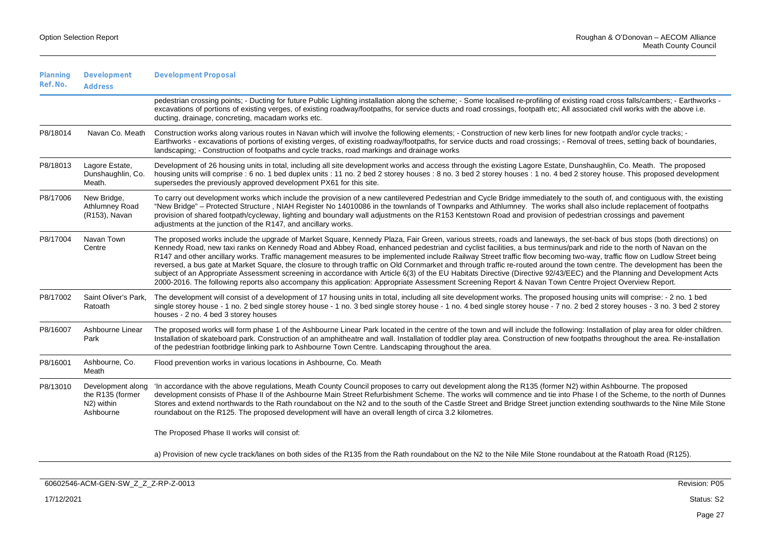| Planning<br>Ref. No. | Development<br><b>Address</b>                                    | <b>Development Proposal</b>                                                                                                                                                                                                                                                                                                                                                                                                                                                                                                                                                                                                                                                                                                                                                                                                                                                                                                                                                                                                                 |
|----------------------|------------------------------------------------------------------|---------------------------------------------------------------------------------------------------------------------------------------------------------------------------------------------------------------------------------------------------------------------------------------------------------------------------------------------------------------------------------------------------------------------------------------------------------------------------------------------------------------------------------------------------------------------------------------------------------------------------------------------------------------------------------------------------------------------------------------------------------------------------------------------------------------------------------------------------------------------------------------------------------------------------------------------------------------------------------------------------------------------------------------------|
|                      |                                                                  | pedestrian crossing points; - Ducting for future Public Lighting installation along the scheme; - Some localised re-profiling of existing road cross falls/cambers; - Earthworks -<br>excavations of portions of existing verges, of existing roadway/footpaths, for service ducts and road crossings, footpath etc; All associated civil works with the above i.e.<br>ducting, drainage, concreting, macadam works etc.                                                                                                                                                                                                                                                                                                                                                                                                                                                                                                                                                                                                                    |
| P8/18014             | Navan Co. Meath                                                  | Construction works along various routes in Navan which will involve the following elements; - Construction of new kerb lines for new footpath and/or cycle tracks; -<br>Earthworks - excavations of portions of existing verges, of existing roadway/footpaths, for service ducts and road crossings; - Removal of trees, setting back of boundaries,<br>landscaping: - Construction of footpaths and cycle tracks, road markings and drainage works                                                                                                                                                                                                                                                                                                                                                                                                                                                                                                                                                                                        |
| P8/18013             | Lagore Estate,<br>Dunshaughlin, Co.<br>Meath.                    | Development of 26 housing units in total, including all site development works and access through the existing Lagore Estate, Dunshaughlin, Co. Meath. The proposed<br>housing units will comprise : 6 no. 1 bed duplex units : 11 no. 2 bed 2 storey houses : 8 no. 3 bed 2 storey houses : 1 no. 4 bed 2 storey house. This proposed development<br>supersedes the previously approved development PX61 for this site.                                                                                                                                                                                                                                                                                                                                                                                                                                                                                                                                                                                                                    |
| P8/17006             | New Bridge,<br>Athlumney Road<br>(R153), Navan                   | To carry out development works which include the provision of a new cantilevered Pedestrian and Cycle Bridge immediately to the south of, and contiguous with, the existing<br>"New Bridge" – Protected Structure, NIAH Register No 14010086 in the townlands of Townparks and Athlumney. The works shall also include replacement of footpaths<br>provision of shared footpath/cycleway, lighting and boundary wall adjustments on the R153 Kentstown Road and provision of pedestrian crossings and pavement<br>adjustments at the junction of the R147, and ancillary works.                                                                                                                                                                                                                                                                                                                                                                                                                                                             |
| P8/17004             | Navan Town<br>Centre                                             | The proposed works include the upgrade of Market Square, Kennedy Plaza, Fair Green, various streets, roads and laneways, the set-back of bus stops (both directions) on<br>Kennedy Road, new taxi ranks on Kennedy Road and Abbey Road, enhanced pedestrian and cyclist facilities, a bus terminus/park and ride to the north of Navan on the<br>R147 and other ancillary works. Traffic management measures to be implemented include Railway Street traffic flow becoming two-way, traffic flow on Ludlow Street being<br>reversed, a bus gate at Market Square, the closure to through traffic on Old Cornmarket and through traffic re-routed around the town centre. The development has been the<br>subject of an Appropriate Assessment screening in accordance with Article 6(3) of the EU Habitats Directive (Directive 92/43/EEC) and the Planning and Development Acts<br>2000-2016. The following reports also accompany this application: Appropriate Assessment Screening Report & Navan Town Centre Project Overview Report. |
| P8/17002             | Saint Oliver's Park,<br>Ratoath                                  | The development will consist of a development of 17 housing units in total, including all site development works. The proposed housing units will comprise: - 2 no. 1 bed<br>single storey house - 1 no. 2 bed single storey house - 1 no. 3 bed single storey house - 1 no. 4 bed single storey house - 7 no. 2 bed 2 storey houses - 3 no. 3 bed 2 storey<br>houses - 2 no. 4 bed 3 storey houses                                                                                                                                                                                                                                                                                                                                                                                                                                                                                                                                                                                                                                         |
| P8/16007             | Ashbourne Linear<br>Park                                         | The proposed works will form phase 1 of the Ashbourne Linear Park located in the centre of the town and will include the following: Installation of play area for older children.<br>Installation of skateboard park. Construction of an amphitheatre and wall. Installation of toddler play area. Construction of new footpaths throughout the area. Re-installation<br>of the pedestrian footbridge linking park to Ashbourne Town Centre. Landscaping throughout the area.                                                                                                                                                                                                                                                                                                                                                                                                                                                                                                                                                               |
| P8/16001             | Ashbourne, Co.<br>Meath                                          | Flood prevention works in various locations in Ashbourne, Co. Meath                                                                                                                                                                                                                                                                                                                                                                                                                                                                                                                                                                                                                                                                                                                                                                                                                                                                                                                                                                         |
| P8/13010             | Development along<br>the R135 (former<br>N2) within<br>Ashbourne | 'In accordance with the above regulations, Meath County Council proposes to carry out development along the R135 (former N2) within Ashbourne. The proposed<br>development consists of Phase II of the Ashbourne Main Street Refurbishment Scheme. The works will commence and tie into Phase I of the Scheme, to the north of Dunnes<br>Stores and extend northwards to the Rath roundabout on the N2 and to the south of the Castle Street and Bridge Street junction extending southwards to the Nine Mile Stone<br>roundabout on the R125. The proposed development will have an overall length of circa 3.2 kilometres.                                                                                                                                                                                                                                                                                                                                                                                                                |
|                      |                                                                  | The Proposed Phase II works will consist of:                                                                                                                                                                                                                                                                                                                                                                                                                                                                                                                                                                                                                                                                                                                                                                                                                                                                                                                                                                                                |
|                      |                                                                  | a) Provision of new cycle track/lanes on both sides of the R135 from the Rath roundabout on the N2 to the Nile Mile Stone roundabout at the Ratoath Road (R125).                                                                                                                                                                                                                                                                                                                                                                                                                                                                                                                                                                                                                                                                                                                                                                                                                                                                            |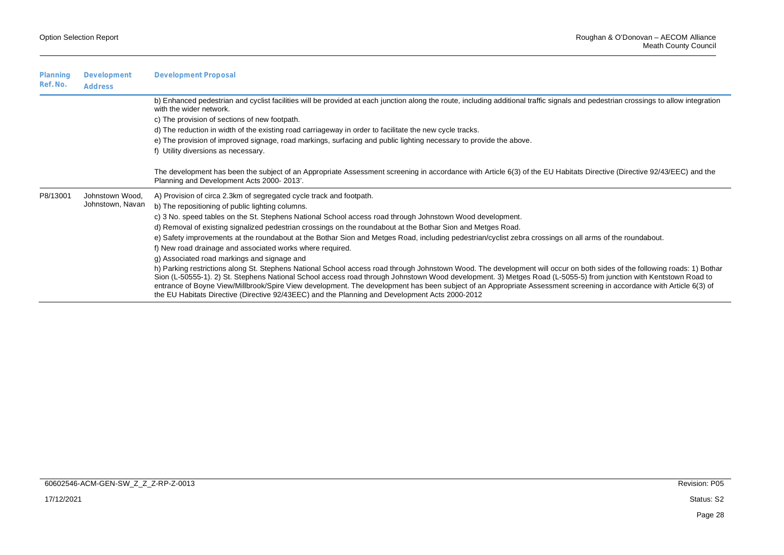| Planning<br>Ref. No. | Development<br>Address | <b>Development Proposal</b>                                                                                                                                                                                                                                                                                                                                                                                                                                                                                                                                                                                            |
|----------------------|------------------------|------------------------------------------------------------------------------------------------------------------------------------------------------------------------------------------------------------------------------------------------------------------------------------------------------------------------------------------------------------------------------------------------------------------------------------------------------------------------------------------------------------------------------------------------------------------------------------------------------------------------|
|                      |                        | b) Enhanced pedestrian and cyclist facilities will be provided at each junction along the route, including additional traffic signals and pedestrian crossings to allow integration<br>with the wider network.                                                                                                                                                                                                                                                                                                                                                                                                         |
|                      |                        | c) The provision of sections of new footpath.                                                                                                                                                                                                                                                                                                                                                                                                                                                                                                                                                                          |
|                      |                        | d) The reduction in width of the existing road carriageway in order to facilitate the new cycle tracks.                                                                                                                                                                                                                                                                                                                                                                                                                                                                                                                |
|                      |                        | e) The provision of improved signage, road markings, surfacing and public lighting necessary to provide the above.<br>f) Utility diversions as necessary.                                                                                                                                                                                                                                                                                                                                                                                                                                                              |
|                      |                        | The development has been the subject of an Appropriate Assessment screening in accordance with Article 6(3) of the EU Habitats Directive (Directive 92/43/EEC) and the<br>Planning and Development Acts 2000-2013'.                                                                                                                                                                                                                                                                                                                                                                                                    |
| P8/13001             | Johnstown Wood,        | A) Provision of circa 2.3km of segregated cycle track and footpath.                                                                                                                                                                                                                                                                                                                                                                                                                                                                                                                                                    |
|                      | Johnstown, Navan       | b) The repositioning of public lighting columns.                                                                                                                                                                                                                                                                                                                                                                                                                                                                                                                                                                       |
|                      |                        | c) 3 No. speed tables on the St. Stephens National School access road through Johnstown Wood development.                                                                                                                                                                                                                                                                                                                                                                                                                                                                                                              |
|                      |                        | d) Removal of existing signalized pedestrian crossings on the roundabout at the Bothar Sion and Metges Road.                                                                                                                                                                                                                                                                                                                                                                                                                                                                                                           |
|                      |                        | e) Safety improvements at the roundabout at the Bothar Sion and Metges Road, including pedestrian/cyclist zebra crossings on all arms of the roundabout.                                                                                                                                                                                                                                                                                                                                                                                                                                                               |
|                      |                        | f) New road drainage and associated works where required.                                                                                                                                                                                                                                                                                                                                                                                                                                                                                                                                                              |
|                      |                        | g) Associated road markings and signage and                                                                                                                                                                                                                                                                                                                                                                                                                                                                                                                                                                            |
|                      |                        | h) Parking restrictions along St. Stephens National School access road through Johnstown Wood. The development will occur on both sides of the following roads: 1) Bothar<br>Sion (L-50555-1). 2) St. Stephens National School access road through Johnstown Wood development. 3) Metges Road (L-5055-5) from junction with Kentstown Road to<br>entrance of Boyne View/Millbrook/Spire View development. The development has been subject of an Appropriate Assessment screening in accordance with Article 6(3) of<br>the EU Habitats Directive (Directive 92/43EEC) and the Planning and Development Acts 2000-2012 |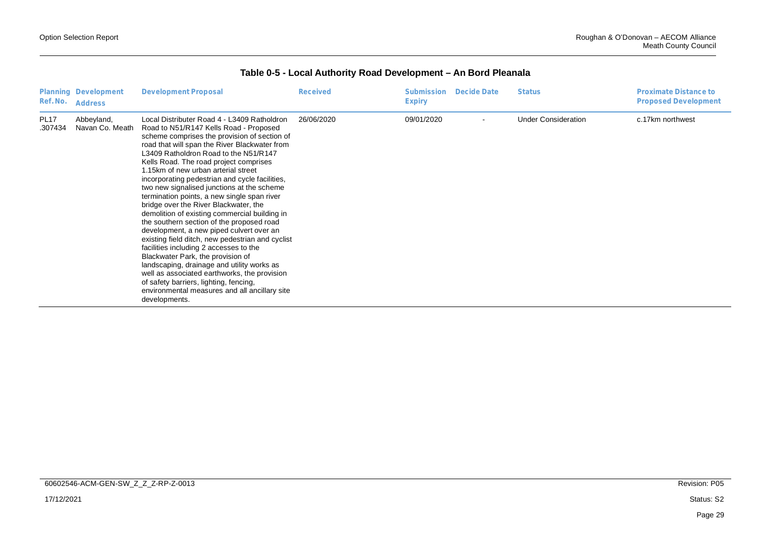| Ref. No.               | Planning Development<br>Address | <b>Development Proposal</b>                                                                                                                                                                                                                                                                                                                                                                                                                                                                                                                                                                                                                                                                                                                                                                                                                                                                                                                                                                     | Received   | <b>Submission</b><br>Expiry | Decide Date | <b>Status</b>              | <b>Proximate Distance to</b><br><b>Proposed Development</b> |
|------------------------|---------------------------------|-------------------------------------------------------------------------------------------------------------------------------------------------------------------------------------------------------------------------------------------------------------------------------------------------------------------------------------------------------------------------------------------------------------------------------------------------------------------------------------------------------------------------------------------------------------------------------------------------------------------------------------------------------------------------------------------------------------------------------------------------------------------------------------------------------------------------------------------------------------------------------------------------------------------------------------------------------------------------------------------------|------------|-----------------------------|-------------|----------------------------|-------------------------------------------------------------|
| <b>PL17</b><br>.307434 | Abbeyland,<br>Navan Co. Meath   | Local Distributer Road 4 - L3409 Ratholdron<br>Road to N51/R147 Kells Road - Proposed<br>scheme comprises the provision of section of<br>road that will span the River Blackwater from<br>L3409 Ratholdron Road to the N51/R147<br>Kells Road. The road project comprises<br>1.15km of new urban arterial street<br>incorporating pedestrian and cycle facilities,<br>two new signalised junctions at the scheme<br>termination points, a new single span river<br>bridge over the River Blackwater, the<br>demolition of existing commercial building in<br>the southern section of the proposed road<br>development, a new piped culvert over an<br>existing field ditch, new pedestrian and cyclist<br>facilities including 2 accesses to the<br>Blackwater Park, the provision of<br>landscaping, drainage and utility works as<br>well as associated earthworks, the provision<br>of safety barriers, lighting, fencing,<br>environmental measures and all ancillary site<br>developments. | 26/06/2020 | 09/01/2020                  |             | <b>Under Consideration</b> | c.17km northwest                                            |

#### **Table 0-5 - Local Authority Road Development – An Bord Pleanala**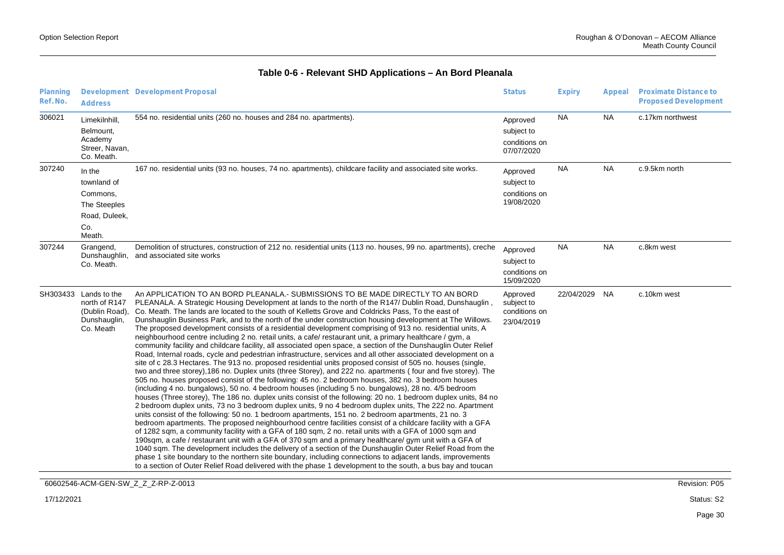| Planning<br>Ref. No. | <b>Address</b>                                                                      | Development Development Proposal                                                                                                                                                                                                                                                                                                                                                                                                                                                                                                                                                                                                                                                                                                                                                                                                                                                                                                                                                                                                                                                                                                                                                                                                                                                                                                                                                                                                                                                                                                                                                                                                                                                                                                                                                                                                                                                                                                                                                                                                                                                                                                                                                                                                                                                                                                               | <b>Status</b>                                         | <b>Expiry</b> | Appeal    | Proximate Distance to<br><b>Proposed Development</b> |
|----------------------|-------------------------------------------------------------------------------------|------------------------------------------------------------------------------------------------------------------------------------------------------------------------------------------------------------------------------------------------------------------------------------------------------------------------------------------------------------------------------------------------------------------------------------------------------------------------------------------------------------------------------------------------------------------------------------------------------------------------------------------------------------------------------------------------------------------------------------------------------------------------------------------------------------------------------------------------------------------------------------------------------------------------------------------------------------------------------------------------------------------------------------------------------------------------------------------------------------------------------------------------------------------------------------------------------------------------------------------------------------------------------------------------------------------------------------------------------------------------------------------------------------------------------------------------------------------------------------------------------------------------------------------------------------------------------------------------------------------------------------------------------------------------------------------------------------------------------------------------------------------------------------------------------------------------------------------------------------------------------------------------------------------------------------------------------------------------------------------------------------------------------------------------------------------------------------------------------------------------------------------------------------------------------------------------------------------------------------------------------------------------------------------------------------------------------------------------|-------------------------------------------------------|---------------|-----------|------------------------------------------------------|
| 306021               | Limekilnhill,<br>Belmount,<br>Academy<br>Streer, Navan,<br>Co. Meath.               | 554 no. residential units (260 no. houses and 284 no. apartments).                                                                                                                                                                                                                                                                                                                                                                                                                                                                                                                                                                                                                                                                                                                                                                                                                                                                                                                                                                                                                                                                                                                                                                                                                                                                                                                                                                                                                                                                                                                                                                                                                                                                                                                                                                                                                                                                                                                                                                                                                                                                                                                                                                                                                                                                             | Approved<br>subject to<br>conditions on<br>07/07/2020 | <b>NA</b>     | <b>NA</b> | c.17km northwest                                     |
| 307240               | In the<br>townland of<br>Commons,<br>The Steeples<br>Road, Duleek,<br>Co.<br>Meath. | 167 no. residential units (93 no. houses, 74 no. apartments), childcare facility and associated site works.                                                                                                                                                                                                                                                                                                                                                                                                                                                                                                                                                                                                                                                                                                                                                                                                                                                                                                                                                                                                                                                                                                                                                                                                                                                                                                                                                                                                                                                                                                                                                                                                                                                                                                                                                                                                                                                                                                                                                                                                                                                                                                                                                                                                                                    | Approved<br>subject to<br>conditions on<br>19/08/2020 | NA            | NA        | c.9.5km north                                        |
| 307244               | Grangend,<br>Dunshaughlin,<br>Co. Meath.                                            | Demolition of structures, construction of 212 no. residential units (113 no. houses, 99 no. apartments), creche<br>and associated site works                                                                                                                                                                                                                                                                                                                                                                                                                                                                                                                                                                                                                                                                                                                                                                                                                                                                                                                                                                                                                                                                                                                                                                                                                                                                                                                                                                                                                                                                                                                                                                                                                                                                                                                                                                                                                                                                                                                                                                                                                                                                                                                                                                                                   | Approved<br>subject to<br>conditions on<br>15/09/2020 | <b>NA</b>     | <b>NA</b> | c.8km west                                           |
| SH303433             | Lands to the<br>north of R147<br>(Dublin Road),<br>Dunshauglin,<br>Co. Meath        | An APPLICATION TO AN BORD PLEANALA.- SUBMISSIONS TO BE MADE DIRECTLY TO AN BORD<br>PLEANALA. A Strategic Housing Development at lands to the north of the R147/ Dublin Road, Dunshauglin,<br>Co. Meath. The lands are located to the south of Kelletts Grove and Coldricks Pass, To the east of<br>Dunshauglin Business Park, and to the north of the under construction housing development at The Willows.<br>The proposed development consists of a residential development comprising of 913 no. residential units, A<br>neighbourhood centre including 2 no. retail units, a cafe/ restaurant unit, a primary healthcare / gym, a<br>community facility and childcare facility, all associated open space, a section of the Dunshauglin Outer Relief<br>Road, Internal roads, cycle and pedestrian infrastructure, services and all other associated development on a<br>site of c 28.3 Hectares. The 913 no. proposed residential units proposed consist of 505 no. houses (single,<br>two and three storey), 186 no. Duplex units (three Storey), and 222 no. apartments (four and five storey). The<br>505 no. houses proposed consist of the following: 45 no. 2 bedroom houses, 382 no. 3 bedroom houses<br>(including 4 no. bungalows), 50 no. 4 bedroom houses (including 5 no. bungalows), 28 no. 4/5 bedroom<br>houses (Three storey), The 186 no. duplex units consist of the following: 20 no. 1 bedroom duplex units, 84 no<br>2 bedroom duplex units, 73 no 3 bedroom duplex units, 9 no 4 bedroom duplex units, The 222 no. Apartment<br>units consist of the following: 50 no. 1 bedroom apartments, 151 no. 2 bedroom apartments, 21 no. 3<br>bedroom apartments. The proposed neighbourhood centre facilities consist of a childcare facility with a GFA<br>of 1282 sqm, a community facility with a GFA of 180 sqm, 2 no. retail units with a GFA of 1000 sqm and<br>190sqm, a cafe / restaurant unit with a GFA of 370 sqm and a primary healthcare/ gym unit with a GFA of<br>1040 sqm. The development includes the delivery of a section of the Dunshauglin Outer Relief Road from the<br>phase 1 site boundary to the northern site boundary, including connections to adjacent lands, improvements<br>to a section of Outer Relief Road delivered with the phase 1 development to the south, a bus bay and toucan | Approved<br>subject to<br>conditions on<br>23/04/2019 | 22/04/2029    | <b>NA</b> | c.10km west                                          |
|                      |                                                                                     | 60602546-ACM-GEN-SW_Z_Z_Z-RP-Z-0013                                                                                                                                                                                                                                                                                                                                                                                                                                                                                                                                                                                                                                                                                                                                                                                                                                                                                                                                                                                                                                                                                                                                                                                                                                                                                                                                                                                                                                                                                                                                                                                                                                                                                                                                                                                                                                                                                                                                                                                                                                                                                                                                                                                                                                                                                                            |                                                       |               |           | Revision: P05                                        |

### **Table 0-6 - Relevant SHD Applications – An Bord Pleanala**